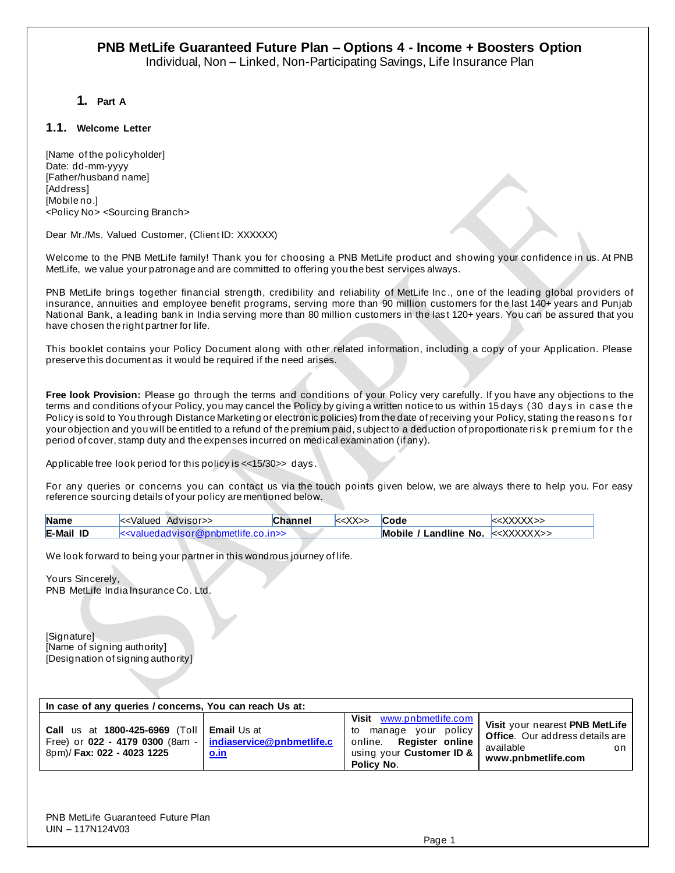**1. Part A**

#### **1.1. Welcome Letter**

[Name of the policyholder] Date: dd-mm-yyyy [Father/husband name] [Address] [Mobile no.] <Policy No> <Sourcing Branch>

Dear Mr./Ms. Valued Customer, (Client ID: XXXXXX)

Welcome to the PNB MetLife family! Thank you for choosing a PNB MetLife product and showing your confidence in us. At PNB MetLife, we value your patronage and are committed to offering you the best services always.

PNB MetLife brings together financial strength, credibility and reliability of MetLife Inc ., one of the leading global providers of insurance, annuities and employee benefit programs, serving more than 90 million customers for the last 140+ years and Punjab National Bank, a leading bank in India serving more than 80 million customers in the las t 120+ years. You can be assured that you have chosen the right partner for life.

This booklet contains your Policy Document along with other related information, including a copy of your Application. Please preserve this document as it would be required if the need arises.

**Free look Provision:** Please go through the terms and conditions of your Policy very carefully. If you have any objections to the terms and conditions of your Policy, you may cancel the Policy by giving a written notice to us within 15 days (30 days in case the Policy is sold to You through Distance Marketing or electronic policies) from the date of receiving your Policy, stating the reasons for your objection and you will be entitled to a refund of the premium paid, subject to a deduction of proportionate risk premium for the period of cover, stamp duty and the expenses incurred on medical examination (if any).

Applicable free look period for this policy is <<15/30>> days.

For any queries or concerns you can contact us via the touch points given below, we are always there to help you. For easy reference sourcing details of your policy are mentioned below.

| <b>Name</b>      | k <valued advisor="">&gt;</valued>              | <b>Channel</b> | $\le$ XX>> | <b>Code</b>                                                       | $\le$ XXXXX >> |
|------------------|-------------------------------------------------|----------------|------------|-------------------------------------------------------------------|----------------|
| <b>E-Mail ID</b> | $k$ $\le$ valued advisor@pnbmetlife.co.in $\ge$ |                |            | <b>Mobile / Landline No.</b> $\ll\chi\chi\chi\chi\chi\chi\chi\gg$ |                |

We look forward to being your partner in this wondrous journey of life.

Yours Sincerely, PNB MetLife India Insurance Co. Ltd.

[Signature] [Name of signing authority] [Designation of signing authority]

| In case of any queries / concerns, You can reach Us at:                                                                                               |             |                                                                                                                                |                                                                                                                   |  |  |
|-------------------------------------------------------------------------------------------------------------------------------------------------------|-------------|--------------------------------------------------------------------------------------------------------------------------------|-------------------------------------------------------------------------------------------------------------------|--|--|
| <b>Call</b> us at 1800-425-6969 (Toll <b>Email</b> Us at<br>Free) or 022 - 4179 0300 (8am -   indiaservice@pnbmetlife.c<br>8pm)/ Fax: 022 - 4023 1225 | <u>o.in</u> | Visit www.pnbmetlife.com I<br>your policy<br>manage<br>to<br>online. Register online<br>using your Customer ID &<br>Policy No. | Visit your nearest PNB MetLife<br><b>Office.</b> Our address details are<br>available<br>on<br>www.pnbmetlife.com |  |  |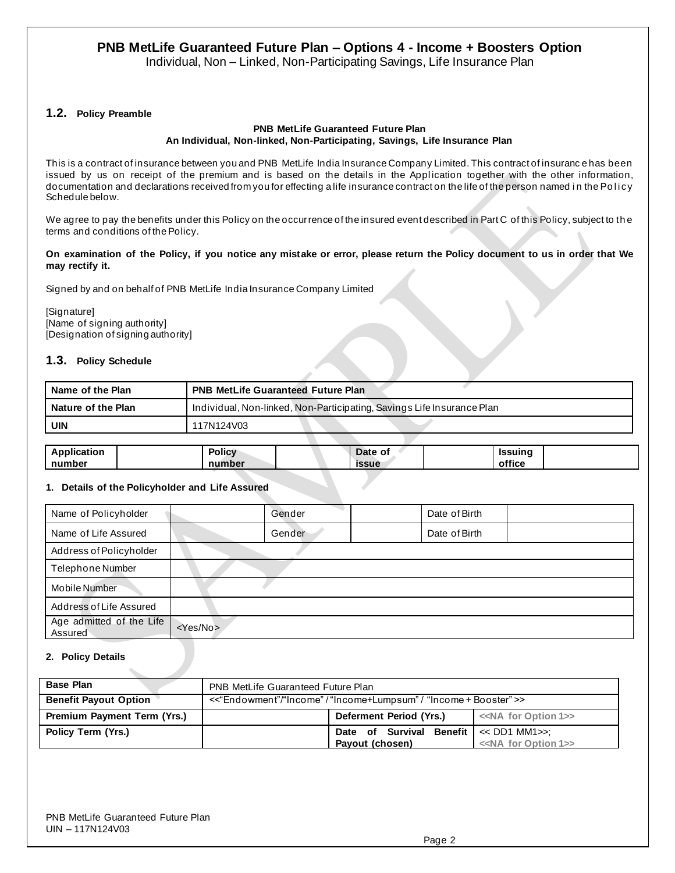Individual, Non – Linked, Non-Participating Savings, Life Insurance Plan

#### **1.2. Policy Preamble**

#### **PNB MetLife Guaranteed Future Plan An Individual, Non-linked, Non-Participating, Savings, Life Insurance Plan**

This is a contract of insurance between you and PNB MetLife India Insurance Company Limited. This contract of insuranc e has been issued by us on receipt of the premium and is based on the details in the Application together with the other information, documentation and declarations received from you for effecting a life insurance contract on the life of the person named in the Policy Schedule below.

We agree to pay the benefits under this Policy on the occurrence of the insured event described in Part C of this Policy, subject to th e terms and conditions of the Policy.

#### **On examination of the Policy, if you notice any mistake or error, please return the Policy document to us in order that We may rectify it.**

Signed by and on behalf of PNB MetLife India Insurance Company Limited

[Signature] [Name of signing authority] [Designation of signing authority]

### **1.3. Policy Schedule**

| Name of the Plan   | <b>PNB MetLife Guaranteed Future Plan</b>                              |
|--------------------|------------------------------------------------------------------------|
| Nature of the Plan | Individual, Non-linked, Non-Participating, Savings Life Insurance Plan |
| UIN                | 117N124V03                                                             |

| <b>Application</b> | <b>Policy</b> | Date of      | Issuing |  |
|--------------------|---------------|--------------|---------|--|
| number             | number        | <b>issue</b> | office  |  |

### **1. Details of the Policyholder and Life Assured**

| Name of Policyholder                |                   | Gender | Date of Birth |  |  |  |
|-------------------------------------|-------------------|--------|---------------|--|--|--|
| Name of Life Assured                |                   | Gender | Date of Birth |  |  |  |
| Address of Policyholder             |                   |        |               |  |  |  |
| Telephone Number                    |                   |        |               |  |  |  |
| Mobile Number                       |                   |        |               |  |  |  |
| Address of Life Assured             |                   |        |               |  |  |  |
| Age admitted of the Life<br>Assured | <yes no=""></yes> |        |               |  |  |  |

#### **2. Policy Details**

| <b>Base Plan</b>                   | <b>PNB MetLife Guaranteed Future Plan</b>                     |                                        |                                       |  |  |
|------------------------------------|---------------------------------------------------------------|----------------------------------------|---------------------------------------|--|--|
| <b>Benefit Payout Option</b>       | <<"Endowment"/"Income"/"Income+Lumpsum"/ "Income + Booster">> |                                        |                                       |  |  |
| <b>Premium Payment Term (Yrs.)</b> |                                                               | Deferment Period (Yrs.)                | < <na 1="" for="" option="">&gt;</na> |  |  |
| Policy Term (Yrs.)                 |                                                               | Date of Survival Benefit << DD1 MM1>>; |                                       |  |  |
|                                    |                                                               | Pavout (chosen)                        | < <na 1="" for="" option="">&gt;</na> |  |  |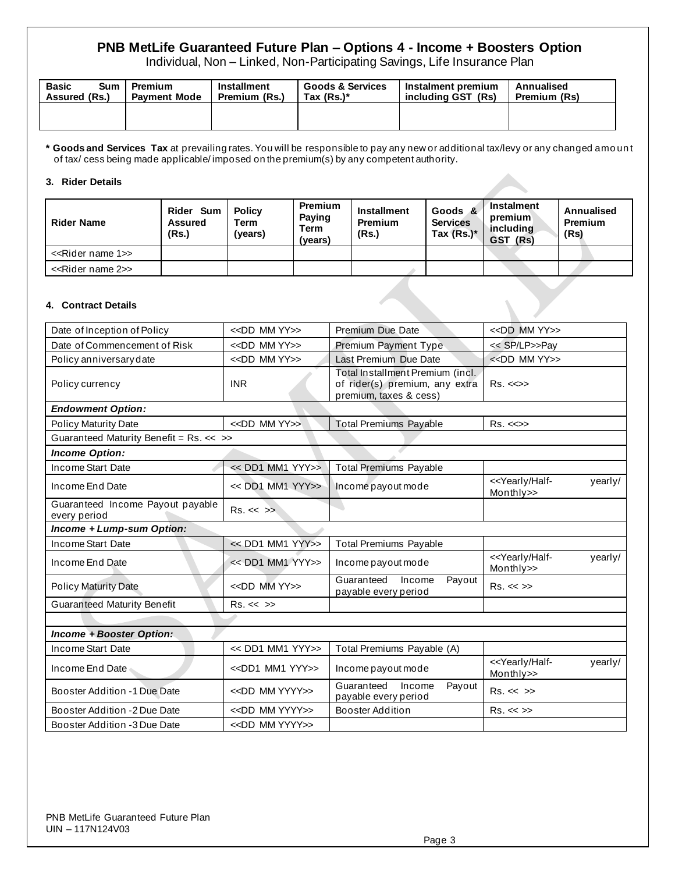Individual, Non – Linked, Non-Participating Savings, Life Insurance Plan

| <b>Basic</b><br>Sum<br>Assured (Rs.) | Premium<br><b>Payment Mode</b> | Installment<br>Premium (Rs.) | <b>Goods &amp; Services</b><br>Tax $(Rs.)^*$ | Instalment premium<br>including GST (Rs) | Annualised<br>Premium (Rs) |
|--------------------------------------|--------------------------------|------------------------------|----------------------------------------------|------------------------------------------|----------------------------|
|                                      |                                |                              |                                              |                                          |                            |

**\* Goods and Services Tax** at prevailing rates. You will be responsible to pay any new or additional tax/levy or any changed amo un t of tax/ cess being made applicable/ imposed on the premium(s) by any competent authority.

#### **3. Rider Details**

| <b>Rider Name</b>                  | Rider Sum<br><b>Assured</b><br>(Rs.) | <b>Policy</b><br>Term<br>(years) | <b>Premium</b><br>Paying<br>Term<br>(years) | <b>Installment</b><br><b>Premium</b><br>(Rs.) | Goods &<br><b>Services</b><br>Tax $(Rs.)^*$ | Instalment<br>premium<br>including<br>GST (Rs) | <b>Annualised</b><br><b>Premium</b><br>(Rs) |
|------------------------------------|--------------------------------------|----------------------------------|---------------------------------------------|-----------------------------------------------|---------------------------------------------|------------------------------------------------|---------------------------------------------|
| < <rider 1="" name="">&gt;</rider> |                                      |                                  |                                             |                                               |                                             |                                                |                                             |
| < <rider 2="" name="">&gt;</rider> |                                      |                                  |                                             |                                               |                                             |                                                |                                             |
| 4. Contract Details                |                                      |                                  |                                             |                                               |                                             |                                                |                                             |

#### **4. Contract Details**

| Date of Inception of Policy                      | < <dd mm="" yy="">&gt;</dd>     | Premium Due Date                                                                             | $<<$ DD MM YY $>>$                                         |
|--------------------------------------------------|---------------------------------|----------------------------------------------------------------------------------------------|------------------------------------------------------------|
| Date of Commencement of Risk                     | < <dd mm="" yy="">&gt;</dd>     | Premium Payment Type                                                                         | << SP/LP>>Pay                                              |
| Policy anniversary date                          | < <dd mm="" yy="">&gt;</dd>     | Last Premium Due Date                                                                        | < <dd mm="" yy="">&gt;</dd>                                |
| Policy currency                                  | <b>INR</b>                      | Total Installment Premium (incl.<br>of rider(s) premium, any extra<br>premium, taxes & cess) | $Rs. < \Leftrightarrow$                                    |
| <b>Endowment Option:</b>                         |                                 |                                                                                              |                                                            |
| <b>Policy Maturity Date</b>                      | < <dd mm="" yy="">&gt;</dd>     | <b>Total Premiums Payable</b>                                                                | $Rs. < \Leftrightarrow$                                    |
| Guaranteed Maturity Benefit = Rs. << >>          |                                 |                                                                                              |                                                            |
| <b>Income Option:</b>                            |                                 |                                                                                              |                                                            |
| Income Start Date                                | << DD1 MM1 YYY>>                | <b>Total Premiums Payable</b>                                                                |                                                            |
| Income End Date                                  | $<<$ DD1 MM1 YYY>>              | Income payout mode                                                                           | < <yearly half-<br="">yearly/<br/>Monthly&gt;&gt;</yearly> |
| Guaranteed Income Payout payable<br>every period | $Rs. \ll \gg$                   |                                                                                              |                                                            |
| Income + Lump-sum Option:                        |                                 |                                                                                              |                                                            |
| Income Start Date                                | << DD1 MM1 YYY>>                | <b>Total Premiums Payable</b>                                                                |                                                            |
| Income End Date                                  | << DD1 MM1 YYY>>                | Income payout mode                                                                           | < <yearly half-<br="">yearly/<br/>Monthly&gt;&gt;</yearly> |
| <b>Policy Maturity Date</b>                      | < <dd mm="" yy="">&gt;</dd>     | Guaranteed<br>Income<br>Payout<br>payable every period                                       | Rs. < >>                                                   |
| <b>Guaranteed Maturity Benefit</b>               | Rs. < < >>                      |                                                                                              |                                                            |
|                                                  |                                 |                                                                                              |                                                            |
| <b>Income + Booster Option:</b>                  |                                 |                                                                                              |                                                            |
| Income Start Date                                | << DD1 MM1 YYY>>                | Total Premiums Payable (A)                                                                   |                                                            |
| Income End Date                                  | < <dd1 mm1="" yyy="">&gt;</dd1> | Income payout mode                                                                           | < <yearly half-<br="">yearly/<br/>Monthly&gt;&gt;</yearly> |
| Booster Addition -1 Due Date                     | < <dd mm="" yyyy="">&gt;</dd>   | Guaranteed<br>Income<br>Payout<br>payable every period                                       | $Rs. \ll \gg$                                              |
| Booster Addition -2 Due Date                     | < <dd mm="" yyyy="">&gt;</dd>   | Booster Addition                                                                             | Rs. < >>                                                   |
| Booster Addition -3 Due Date                     | < <dd mm="" yyyy="">&gt;</dd>   |                                                                                              |                                                            |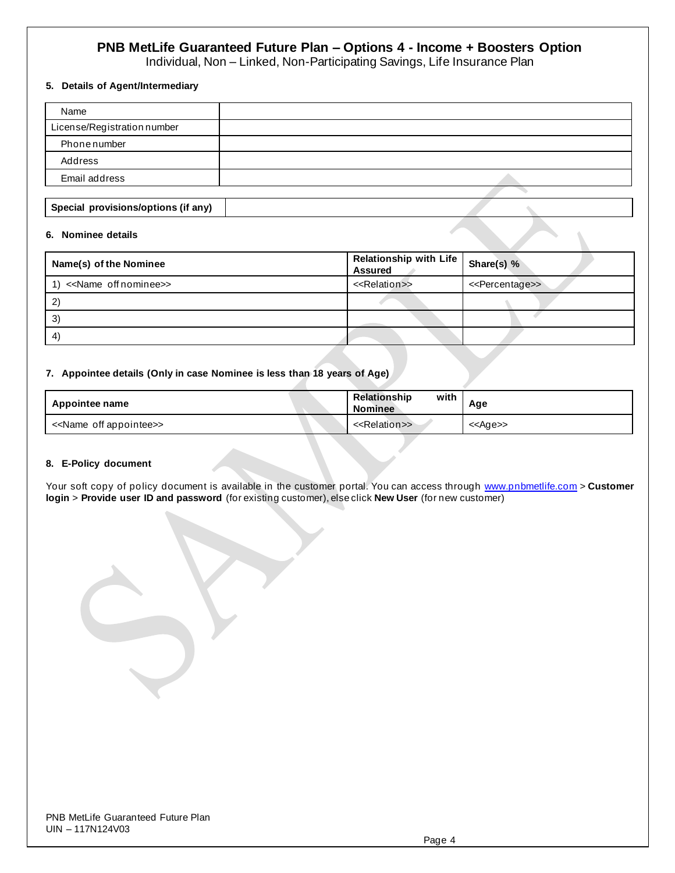Individual, Non – Linked, Non-Participating Savings, Life Insurance Plan

### **5. Details of Agent/Intermediary**

| Name                                |  |
|-------------------------------------|--|
| License/Registration number         |  |
| Phonenumber                         |  |
| Address                             |  |
| Email address                       |  |
|                                     |  |
| Special provisions/options (if any) |  |

#### **6. Nominee details**

| Name(s) of the Nominee                | Relationship with Life Share(s) %<br><b>Assured</b> |                                 |
|---------------------------------------|-----------------------------------------------------|---------------------------------|
| < <name nominee="" off="">&gt;</name> | < <relation>&gt;</relation>                         | < <percentage>&gt;</percentage> |
|                                       |                                                     |                                 |
| 3                                     |                                                     |                                 |
| 4                                     |                                                     |                                 |

#### **7. Appointee details (Only in case Nominee is less than 18 years of Age)**

| Appointee name                          | with<br><b>Relationship</b><br><b>Nominee</b> | Age               |
|-----------------------------------------|-----------------------------------------------|-------------------|
| < <name appointee="" off="">&gt;</name> | < <relation>&gt;</relation>                   | < <age>&gt;</age> |

#### **8. E-Policy document**

Your soft copy of policy document is available in the customer portal. You can access throug[h www.pnbmetlife.com](http://www.pnbmetlife.com/) > Customer **login** > **Provide user ID and password** (for existing customer), else click **New User** (for new customer)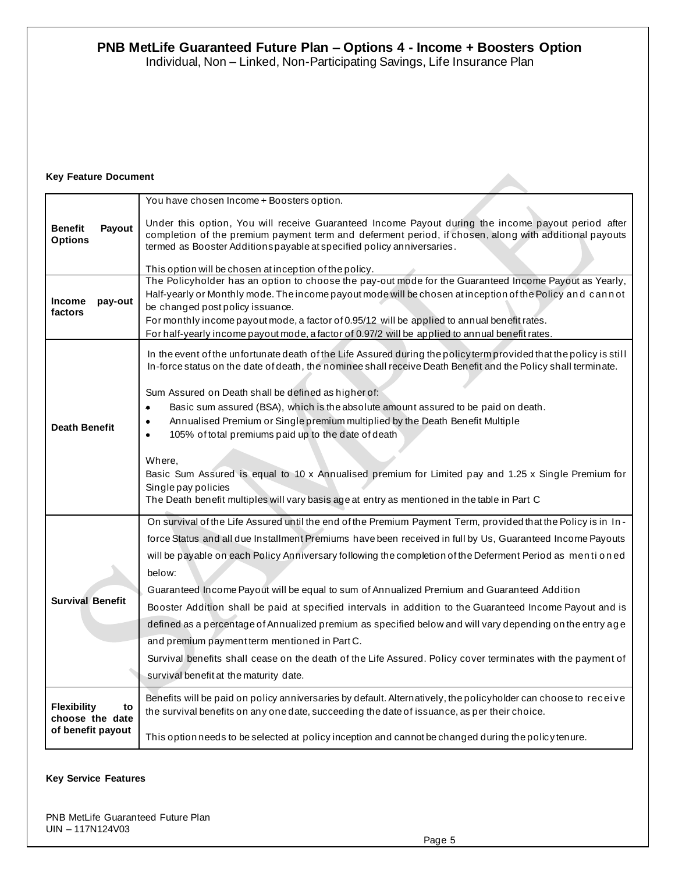Individual, Non – Linked, Non-Participating Savings, Life Insurance Plan

## **Key Feature Document**

| <b>Benefit</b><br>Payout<br><b>Options</b>                       | You have chosen Income + Boosters option.<br>Under this option, You will receive Guaranteed Income Payout during the income payout period after<br>completion of the premium payment term and deferment period, if chosen, along with additional payouts<br>termed as Booster Additions payable at specified policy anniversaries.<br>This option will be chosen at inception of the policy.<br>The Policyholder has an option to choose the pay-out mode for the Guaranteed Income Payout as Yearly,                                                                                                                                                                                                                                                                                                                                                                               |
|------------------------------------------------------------------|-------------------------------------------------------------------------------------------------------------------------------------------------------------------------------------------------------------------------------------------------------------------------------------------------------------------------------------------------------------------------------------------------------------------------------------------------------------------------------------------------------------------------------------------------------------------------------------------------------------------------------------------------------------------------------------------------------------------------------------------------------------------------------------------------------------------------------------------------------------------------------------|
| <b>Income</b><br>pay-out<br>factors                              | Half-yearly or Monthly mode. The income payout mode will be chosen at inception of the Policy and cannot<br>be changed post policy issuance.<br>For monthly income payout mode, a factor of 0.95/12 will be applied to annual benefit rates.<br>For half-yearly income payout mode, a factor of 0.97/2 will be applied to annual benefit rates.                                                                                                                                                                                                                                                                                                                                                                                                                                                                                                                                     |
| <b>Death Benefit</b>                                             | In the event of the unfortunate death of the Life Assured during the policy term provided that the policy is still<br>In-force status on the date of death, the nominee shall receive Death Benefit and the Policy shall terminate.<br>Sum Assured on Death shall be defined as higher of:<br>Basic sum assured (BSA), which is the absolute amount assured to be paid on death.<br>۰<br>Annualised Premium or Single premium multiplied by the Death Benefit Multiple<br>105% of total premiums paid up to the date of death<br>$\bullet$<br>Where,<br>Basic Sum Assured is equal to 10 x Annualised premium for Limited pay and 1.25 x Single Premium for<br>Single pay policies<br>The Death benefit multiples will vary basis age at entry as mentioned in the table in Part C                                                                                                  |
| <b>Survival Benefit</b>                                          | On survival of the Life Assured until the end of the Premium Payment Term, provided that the Policy is in In-<br>force Status and all due Installment Premiums have been received in full by Us, Guaranteed Income Payouts<br>will be payable on each Policy Anniversary following the completion of the Deferment Period as menti oned<br>below:<br>Guaranteed Income Payout will be equal to sum of Annualized Premium and Guaranteed Addition<br>Booster Addition shall be paid at specified intervals in addition to the Guaranteed Income Payout and is<br>defined as a percentage of Annualized premium as specified below and will vary depending on the entry age<br>and premium payment term mentioned in Part C.<br>Survival benefits shall cease on the death of the Life Assured. Policy cover terminates with the payment of<br>survival benefit at the maturity date. |
| <b>Flexibility</b><br>to<br>choose the date<br>of benefit payout | Benefits will be paid on policy anniversaries by default. Alternatively, the policyholder can choose to receive<br>the survival benefits on any one date, succeeding the date of issuance, as per their choice.<br>This option needs to be selected at policy inception and cannot be changed during the policy tenure.                                                                                                                                                                                                                                                                                                                                                                                                                                                                                                                                                             |

#### **Key Service Features**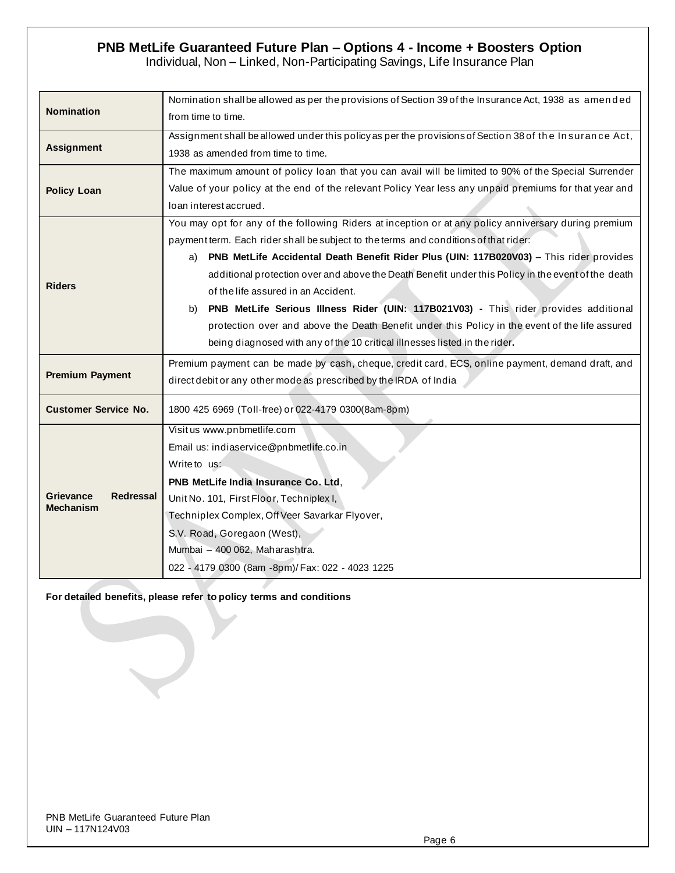Individual, Non – Linked, Non-Participating Savings, Life Insurance Plan

| <b>Nomination</b>                    | Nomination shall be allowed as per the provisions of Section 39 of the Insurance Act, 1938 as amended<br>from time to time. |  |  |  |  |  |  |
|--------------------------------------|-----------------------------------------------------------------------------------------------------------------------------|--|--|--|--|--|--|
|                                      | Assignment shall be allowed under this policy as per the provisions of Section 38 of the Insurance Act,                     |  |  |  |  |  |  |
| <b>Assignment</b>                    |                                                                                                                             |  |  |  |  |  |  |
|                                      | 1938 as amended from time to time.                                                                                          |  |  |  |  |  |  |
|                                      | The maximum amount of policy loan that you can avail will be limited to 90% of the Special Surrender                        |  |  |  |  |  |  |
| <b>Policy Loan</b>                   | Value of your policy at the end of the relevant Policy Year less any unpaid premiums for that year and                      |  |  |  |  |  |  |
|                                      | loan interest accrued.                                                                                                      |  |  |  |  |  |  |
|                                      | You may opt for any of the following Riders at inception or at any policy anniversary during premium                        |  |  |  |  |  |  |
|                                      | payment term. Each rider shall be subject to the terms and conditions of that rider:                                        |  |  |  |  |  |  |
|                                      | a) PNB MetLife Accidental Death Benefit Rider Plus (UIN: 117B020V03) - This rider provides                                  |  |  |  |  |  |  |
|                                      | additional protection over and above the Death Benefit under this Policy in the event of the death                          |  |  |  |  |  |  |
| <b>Riders</b>                        | of the life assured in an Accident.                                                                                         |  |  |  |  |  |  |
|                                      | PNB MetLife Serious Illness Rider (UIN: 117B021V03) - This rider provides additional<br>b)                                  |  |  |  |  |  |  |
|                                      | protection over and above the Death Benefit under this Policy in the event of the life assured                              |  |  |  |  |  |  |
|                                      | being diagnosed with any of the 10 critical illnesses listed in the rider.                                                  |  |  |  |  |  |  |
|                                      | Premium payment can be made by cash, cheque, credit card, ECS, online payment, demand draft, and                            |  |  |  |  |  |  |
| <b>Premium Payment</b>               | direct debit or any other mode as prescribed by the IRDA of India                                                           |  |  |  |  |  |  |
| <b>Customer Service No.</b>          | 1800 425 6969 (Toll-free) or 022-4179 0300(8am-8pm)                                                                         |  |  |  |  |  |  |
|                                      | Visit us www.pnbmetlife.com                                                                                                 |  |  |  |  |  |  |
|                                      | Email us: indiaservice@pnbmetlife.co.in                                                                                     |  |  |  |  |  |  |
|                                      | Write to us:                                                                                                                |  |  |  |  |  |  |
|                                      | PNB MetLife India Insurance Co. Ltd.                                                                                        |  |  |  |  |  |  |
| <b>Grievance</b><br><b>Redressal</b> | Unit No. 101, First Floor, Techniplex I,                                                                                    |  |  |  |  |  |  |
| <b>Mechanism</b>                     | Techniplex Complex, Off Veer Savarkar Flyover,                                                                              |  |  |  |  |  |  |
|                                      | S.V. Road, Goregaon (West),                                                                                                 |  |  |  |  |  |  |
|                                      | Mumbai - 400 062, Maharashtra.                                                                                              |  |  |  |  |  |  |
|                                      | 022 - 4179 0300 (8am -8pm)/ Fax: 022 - 4023 1225                                                                            |  |  |  |  |  |  |
|                                      |                                                                                                                             |  |  |  |  |  |  |

## **For detailed benefits, please refer to policy terms and conditions**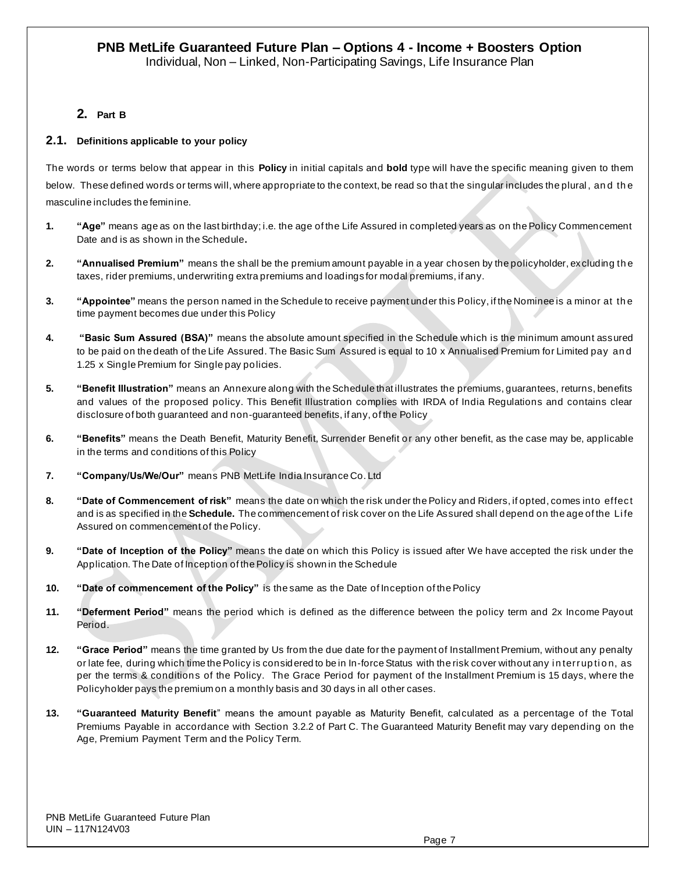## **2. Part B**

### **2.1. Definitions applicable to your policy**

The words or terms below that appear in this **Policy** in initial capitals and **bold** type will have the specific meaning given to them below. These defined words or terms will, where appropriate to the context, be read so that the singular includes the plural, and the masculine includes the feminine.

- **1. "Age"** means age as on the last birthday; i.e. the age of the Life Assured in completed years as on the Policy Commencement Date and is as shown in the Schedule**.**
- **2. "Annualised Premium"** means the shall be the premium amount payable in a year chosen by the policyholder, excluding th e taxes, rider premiums, underwriting extra premiums and loadings for modal premiums, if any.
- **3. "Appointee"** means the person named in the Schedule to receive payment under this Policy, if the Nominee is a minor at th e time payment becomes due under this Policy
- **4. "Basic Sum Assured (BSA)"** means the absolute amount specified in the Schedule which is the minimum amount assured to be paid on the death of the Life Assured. The Basic Sum Assured is equal to 10 x Annualised Premium for Limited pay an d 1.25 x Single Premium for Single pay policies.
- **5. "Benefit Illustration"** means an Annexure along with the Schedule that illustrates the premiums, guarantees, returns, benefits and values of the proposed policy. This Benefit Illustration complies with IRDA of India Regulations and contains clear disclosure of both guaranteed and non-guaranteed benefits, if any, of the Policy
- **6. "Benefits"** means the Death Benefit, Maturity Benefit, Surrender Benefit or any other benefit, as the case may be, applicable in the terms and conditions of this Policy
- **7. "Company/Us/We/Our"** means PNB MetLife India Insurance Co. Ltd
- **8. "Date of Commencement of risk"** means the date on which the risk under the Policy and Riders, if opted, comes into effect and is as specified in the **Schedule.** The commencement of risk cover on the Life Assured shall depend on the age of the Li fe Assured on commencement of the Policy.
- **9. "Date of Inception of the Policy"** means the date on which this Policy is issued after We have accepted the risk under the Application. The Date of Inception of the Policy is shown in the Schedule
- **10. "Date of commencement of the Policy"** is the same as the Date of Inception of the Policy
- **11. "Deferment Period"** means the period which is defined as the difference between the policy term and 2x Income Payout Period.
- **12. "Grace Period"** means the time granted by Us from the due date for the payment of Installment Premium, without any penalty or late fee, during which time the Policy is considered to be in In-force Status with the risk cover without any interruption, as per the terms & conditions of the Policy. The Grace Period for payment of the Installment Premium is 15 days, where the Policyholder pays the premium on a monthly basis and 30 days in all other cases.
- **13. "Guaranteed Maturity Benefit**" means the amount payable as Maturity Benefit, calculated as a percentage of the Total Premiums Payable in accordance with Section 3.2.2 of Part C. The Guaranteed Maturity Benefit may vary depending on the Age, Premium Payment Term and the Policy Term.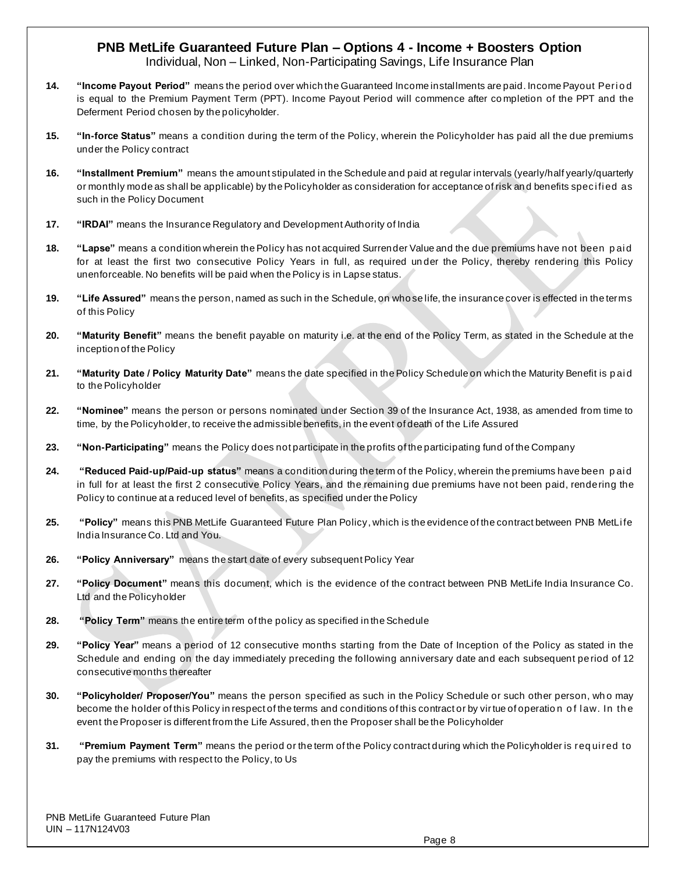Individual, Non – Linked, Non-Participating Savings, Life Insurance Plan

- **14.** "Income Payout Period" means the period over which the Guaranteed Income installments are paid. Income Payout Period is equal to the Premium Payment Term (PPT). Income Payout Period will commence after co mpletion of the PPT and the Deferment Period chosen by the policyholder.
- **15. "In-force Status"** means a condition during the term of the Policy, wherein the Policyholder has paid all the due premiums under the Policy contract
- **16. "Installment Premium"** means the amount stipulated in the Schedule and paid at regular intervals (yearly/half yearly/quarterly or monthly mode as shall be applicable) by the Policyholder as consideration for acceptance of risk and benefits specified as such in the Policy Document
- **17. "IRDAI"** means the Insurance Regulatory and Development Authority of India
- **18. "Lapse"** means a condition wherein the Policy has not acquired Surrender Value and the due premiums have not been paid for at least the first two consecutive Policy Years in full, as required un der the Policy, thereby rendering this Policy unenforceable. No benefits will be paid when the Policy is in Lapse status.
- **19. "Life Assured"** means the person, named as such in the Schedule, on who se life, the insurance cover is effected in the terms of this Policy
- **20. "Maturity Benefit"** means the benefit payable on maturity i.e. at the end of the Policy Term, as stated in the Schedule at the inception of the Policy
- **21. "Maturity Date / Policy Maturity Date"** means the date specified in the Policy Schedule on which the Maturity Benefit is p ai d to the Policyholder
- **22. "Nominee"** means the person or persons nominated under Section 39 of the Insurance Act, 1938, as amended from time to time, by the Policyholder, to receive the admissible benefits, in the event of death of the Life Assured
- **23. "Non-Participating"** means the Policy does not participate in the profits of the participating fund of the Company
- **24. "Reduced Paid-up/Paid-up status"** means a condition during the term of the Policy, wherein the premiums have been p ai d in full for at least the first 2 consecutive Policy Years, and the remaining due premiums have not been paid, rendering the Policy to continue at a reduced level of benefits, as specified under the Policy
- 25. **"Policy"** means this PNB MetLife Guaranteed Future Plan Policy, which is the evidence of the contract between PNB MetLife India Insurance Co. Ltd and You.
- **26. "Policy Anniversary"** means the start date of every subsequent Policy Year
- **27. "Policy Document"** means this document, which is the evidence of the contract between PNB MetLife India Insurance Co. Ltd and the Policyholder
- **28. "Policy Term"** means the entire term of the policy as specified in the Schedule
- **29. "Policy Year"** means a period of 12 consecutive months starting from the Date of Inception of the Policy as stated in the Schedule and ending on the day immediately preceding the following anniversary date and each subsequent period of 12 consecutive months thereafter
- **30. "Policyholder/ Proposer/You"** means the person specified as such in the Policy Schedule or such other person, wh o may become the holder of this Policy in respect of the terms and conditions of this contract or by virtue of operation of law. In the event the Proposer is different from the Life Assured, th en the Proposer shall be the Policyholder
- **31. "Premium Payment Term**" means the period or the term of the Policy contract during which the Policyholder is required to pay the premiums with respect to the Policy, to Us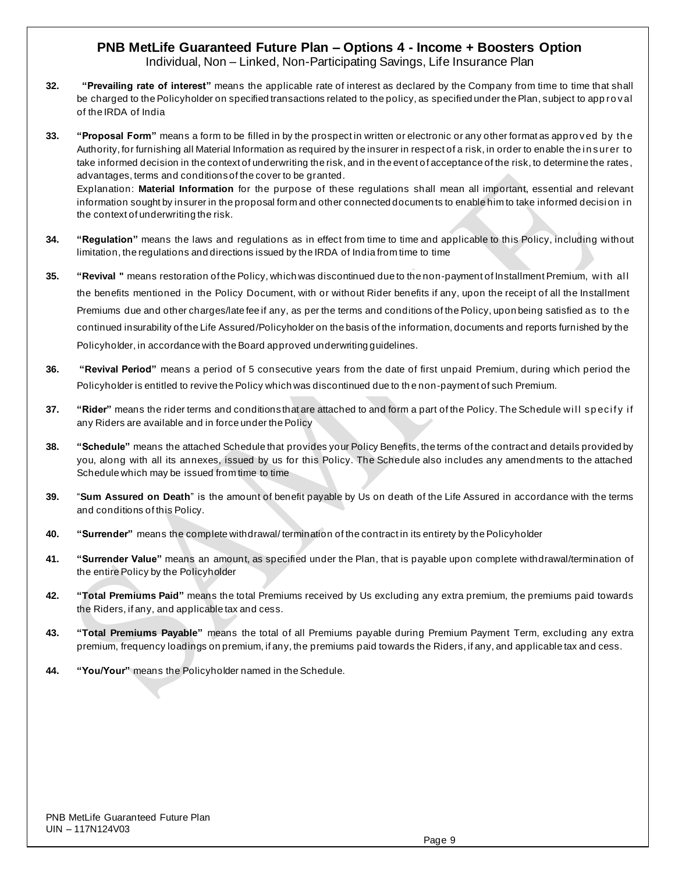Individual, Non – Linked, Non-Participating Savings, Life Insurance Plan

- **32. "Prevailing rate of interest"** means the applicable rate of interest as declared by the Company from time to time that shall be charged to the Policyholder on specified transactions related to the policy, as specified under the Plan, subject to app ro val of the IRDA of India
- **33. "Proposal Form"** means a form to be filled in by the prospect in written or electronic or any other format as appro ved by th e Authority, for furnishing all Material Information as required by the insurer in respect of a risk, in order to enable the insurer to take informed decision in the context of underwriting the risk, and in the event of acceptance of the risk, to determine the rates, advantages, terms and conditions of the cover to be granted. Explanation: **Material Information** for the purpose of these regulations shall mean all important, essential and relevant information sought by insurer in the proposal form and other connected documents to enable him to take informed decision in the context of underwriting the risk.
- **34. "Regulation"** means the laws and regulations as in effect from time to time and applicable to this Policy, including without limitation, the regulations and directions issued by the IRDA of India from time to time
- **35. "Revival "** means restoration of the Policy, which was discontinued due to the non-payment of Installment Premium, wi th al l the benefits mentioned in the Policy Document, with or without Rider benefits if any, upon the receipt of all the Installment Premiums due and other charges/late fee if any, as per the terms and conditions of the Policy, upon being satisfied as to th e continued insurability of the Life Assured/Policyholder on the basis of the information, documents and reports furnished by the Policyholder, in accordance with the Board approved underwriting guidelines.
- **36. "Revival Period"** means a period of 5 consecutive years from the date of first unpaid Premium, during which period the Policyholder is entitled to revive the Policy which was discontinued due to th e non-payment of such Premium.
- **37. "Rider"** means the rider terms and conditions that are attached to and form a part of the Policy. The Schedule will specify if any Riders are available and in force under the Policy
- **38. "Schedule"** means the attached Schedule that provides your Policy Benefits, the terms of the contract and details provided by you, along with all its annexes, issued by us for this Policy. The Schedule also includes any amendments to the attached Schedule which may be issued from time to time
- **39.** "**Sum Assured on Death**" is the amount of benefit payable by Us on death of the Life Assured in accordance with the terms and conditions of this Policy.
- **40. "Surrender"** means the complete withdrawal/ termination of the contract in its entirety by the Policyholder
- **41. "Surrender Value"** means an amount, as specified under the Plan, that is payable upon complete withdrawal/termination of the entire Policy by the Policyholder
- **42. "Total Premiums Paid"** means the total Premiums received by Us excluding any extra premium, the premiums paid towards the Riders, if any, and applicable tax and cess.
- **43. "Total Premiums Payable"** means the total of all Premiums payable during Premium Payment Term, excluding any extra premium, frequency loadings on premium, if any, the premiums paid towards the Riders, if any, and applicable tax and cess.
- **44. "You/Your"** means the Policyholder named in the Schedule.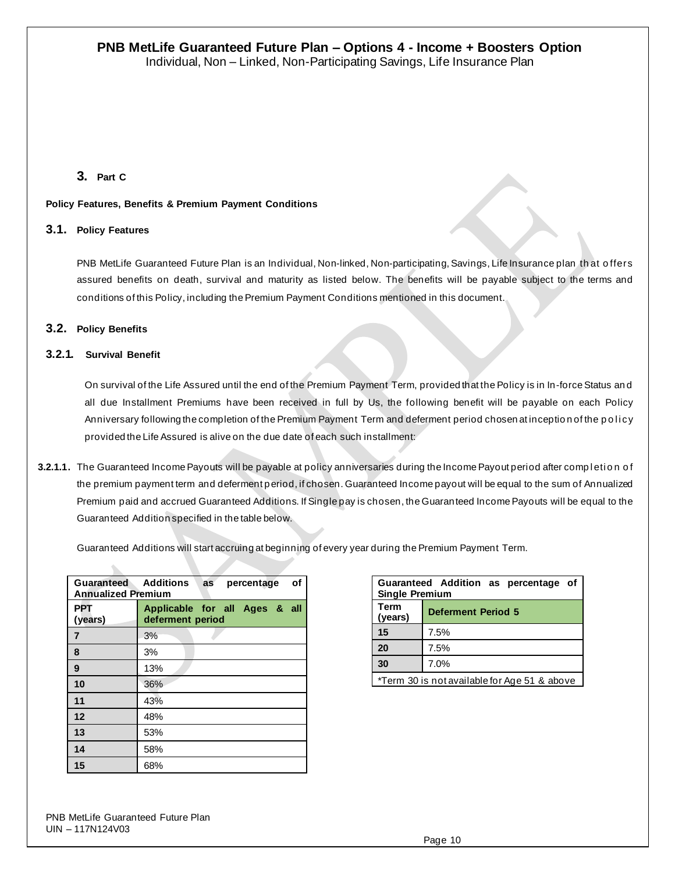## **3. Part C**

### **Policy Features, Benefits & Premium Payment Conditions**

## **3.1. Policy Features**

PNB MetLife Guaranteed Future Plan is an Individual, Non-linked, Non-participating, Savings, Life Insurance plan th at o ffers assured benefits on death, survival and maturity as listed below. The benefits will be payable subject to the terms and conditions of this Policy, including the Premium Payment Conditions mentioned in this document.

## **3.2. Policy Benefits**

### **3.2.1. Survival Benefit**

On survival of the Life Assured until the end of the Premium Payment Term, provided that the Policy is in In-force Status an d all due Installment Premiums have been received in full by Us, the following benefit will be payable on each Policy Anniversary following the completion of the Premium Payment Term and deferment period chosen at inception of the policy provided the Life Assured is alive on the due date of each such installment:

3.2.1.1. The Guaranteed Income Payouts will be payable at policy anniversaries during the Income Payout period after comp letion of the premium payment term and deferment period, if chosen. Guaranteed Income payout will be equal to the sum of Annualized Premium paid and accrued Guaranteed Additions. If Single pay is chosen, the Guaranteed Income Payouts will be equal to the Guaranteed Addition specified in the table below.

Guaranteed Additions will start accruing at beginning of every year during the Premium Payment Term.

| <b>Guaranteed Additions</b><br><b>Annualized Premium</b> | οf<br>percentage<br>as                            |
|----------------------------------------------------------|---------------------------------------------------|
| <b>PPT</b><br>(years)                                    | Applicable for all Ages & all<br>deferment period |
| $\overline{7}$                                           | 3%                                                |
| 8                                                        | 3%                                                |
| 9                                                        | 13%                                               |
| 10                                                       | 36%                                               |
| 11                                                       | 43%                                               |
| 12                                                       | 48%                                               |
| 13                                                       | 53%                                               |
| 14                                                       | 58%                                               |
| 15                                                       | 68%                                               |

| Guaranteed Addition as percentage of<br><b>Single Premium</b> |                           |  |  |  |  |  |
|---------------------------------------------------------------|---------------------------|--|--|--|--|--|
| Term<br>(years)                                               | <b>Deferment Period 5</b> |  |  |  |  |  |
| 15                                                            | 7.5%                      |  |  |  |  |  |
| 20                                                            | 7.5%                      |  |  |  |  |  |
| 30                                                            | 7.0%                      |  |  |  |  |  |
| *Term 30 is not available for Age 51 & above                  |                           |  |  |  |  |  |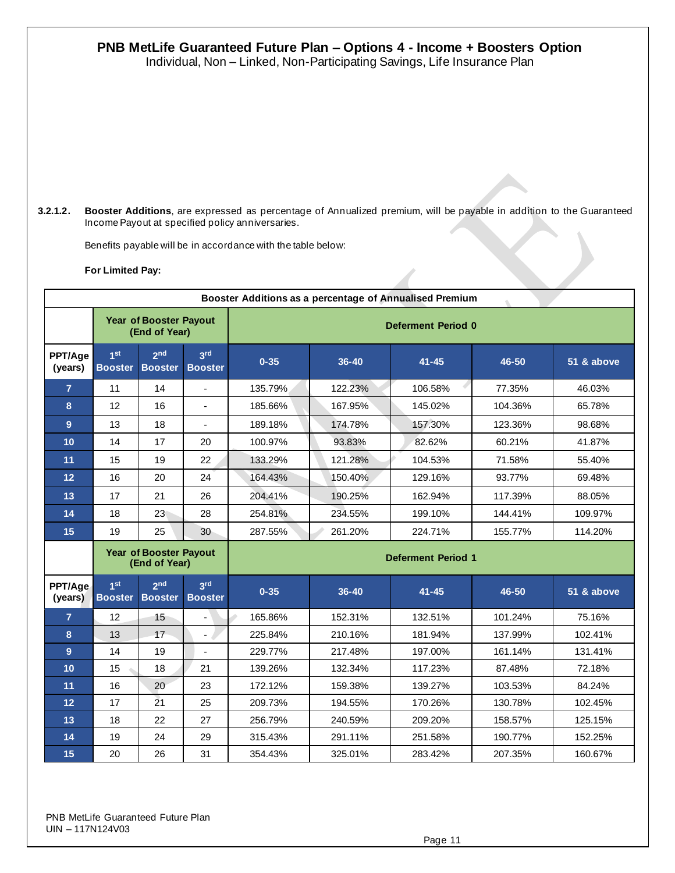Individual, Non – Linked, Non-Participating Savings, Life Insurance Plan

**3.2.1.2. Booster Additions**, are expressed as percentage of Annualized premium, will be payable in addition to the Guaranteed Income Payout at specified policy anniversaries.

Benefits payable will be in accordance with the table below:

#### **For Limited Pay:**

| Booster Additions as a percentage of Annualised Premium |                                   |                                                |                                   |                           |           |           |         |            |  |
|---------------------------------------------------------|-----------------------------------|------------------------------------------------|-----------------------------------|---------------------------|-----------|-----------|---------|------------|--|
|                                                         |                                   | <b>Year of Booster Payout</b><br>(End of Year) |                                   | <b>Deferment Period 0</b> |           |           |         |            |  |
| PPT/Age<br>(years)                                      | 1 <sub>st</sub><br><b>Booster</b> | 2 <sub>nd</sub><br><b>Booster</b>              | 3rd<br><b>Booster</b>             | $0 - 35$                  | $36 - 40$ | $41 - 45$ | 46-50   | 51 & above |  |
| $\overline{7}$                                          | 11                                | 14                                             |                                   | 135.79%                   | 122.23%   | 106.58%   | 77.35%  | 46.03%     |  |
| 8                                                       | 12                                | 16                                             | $\mathbf{r}$                      | 185.66%                   | 167.95%   | 145.02%   | 104.36% | 65.78%     |  |
| 9                                                       | 13                                | 18                                             | $\blacksquare$                    | 189.18%                   | 174.78%   | 157.30%   | 123.36% | 98.68%     |  |
| 10                                                      | 14                                | 17                                             | 20                                | 100.97%                   | 93.83%    | 82.62%    | 60.21%  | 41.87%     |  |
| 11                                                      | 15                                | 19                                             | 22                                | 133.29%                   | 121.28%   | 104.53%   | 71.58%  | 55.40%     |  |
| 12                                                      | 16                                | 20                                             | 24                                | 164.43%                   | 150.40%   | 129.16%   | 93.77%  | 69.48%     |  |
| 13                                                      | 17                                | 21                                             | 26                                | 204.41%                   | 190.25%   | 162.94%   | 117.39% | 88.05%     |  |
| 14                                                      | 18                                | 23                                             | 28                                | 254.81%                   | 234.55%   | 199.10%   | 144.41% | 109.97%    |  |
| 15                                                      | 19                                | 25                                             | 30 <sup>°</sup>                   | 287.55%                   | 261.20%   | 224.71%   | 155.77% | 114.20%    |  |
|                                                         |                                   | <b>Year of Booster Payout</b><br>(End of Year) |                                   | <b>Deferment Period 1</b> |           |           |         |            |  |
| PPT/Age<br>(years)                                      | 1 <sub>st</sub><br><b>Booster</b> | 2 <sub>nd</sub><br><b>Booster</b>              | 3 <sup>rd</sup><br><b>Booster</b> | $0 - 35$                  | $36 - 40$ | $41 - 45$ | 46-50   | 51 & above |  |
| $\overline{7}$                                          | 12                                | 15                                             | $\overline{a}$                    | 165.86%                   | 152.31%   | 132.51%   | 101.24% | 75.16%     |  |
| 8                                                       | 13                                | 17                                             |                                   | 225.84%                   | 210.16%   | 181.94%   | 137.99% | 102.41%    |  |
| 9                                                       | 14                                | 19                                             |                                   | 229.77%                   | 217.48%   | 197.00%   | 161.14% | 131.41%    |  |
| 10                                                      | 15                                | 18                                             | 21                                | 139.26%                   | 132.34%   | 117.23%   | 87.48%  | 72.18%     |  |
| 11                                                      | 16                                | 20                                             | 23                                | 172.12%                   | 159.38%   | 139.27%   | 103.53% | 84.24%     |  |
| 12                                                      | 17                                | $\overline{2}1$                                | 25                                | 209.73%                   | 194.55%   | 170.26%   | 130.78% | 102.45%    |  |
| 13                                                      | 18                                | 22                                             | 27                                | 256.79%                   | 240.59%   | 209.20%   | 158.57% | 125.15%    |  |
| 14                                                      | 19                                | 24                                             | 29                                | 315.43%                   | 291.11%   | 251.58%   | 190.77% | 152.25%    |  |
| 15                                                      | 20                                | 26                                             | 31                                | 354.43%                   | 325.01%   | 283.42%   | 207.35% | 160.67%    |  |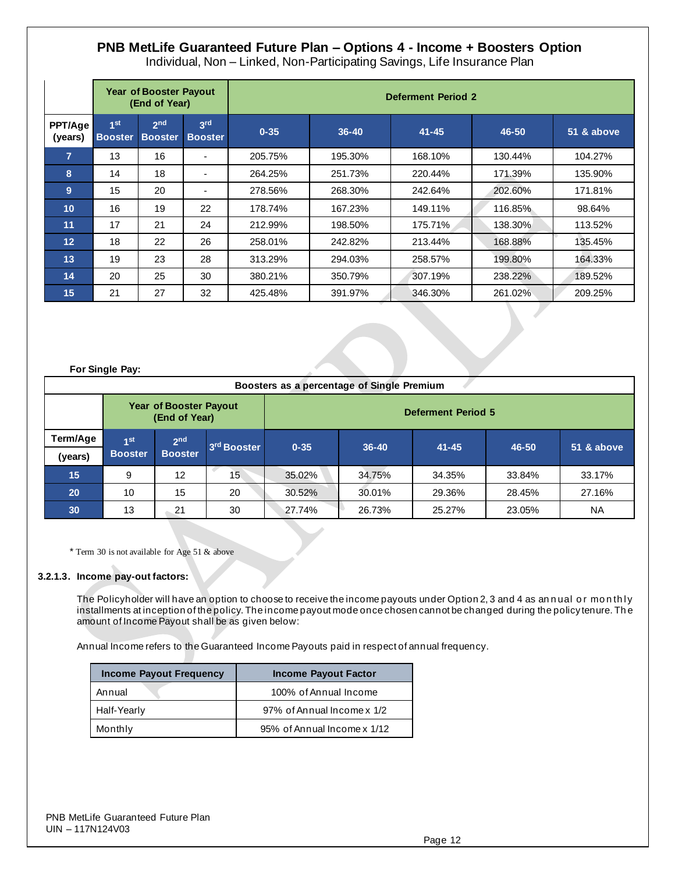Individual, Non – Linked, Non-Participating Savings, Life Insurance Plan

|                    | <b>Year of Booster Payout</b><br>(End of Year) |                                   |                                   | <b>Deferment Period 2</b> |           |           |         |            |  |  |
|--------------------|------------------------------------------------|-----------------------------------|-----------------------------------|---------------------------|-----------|-----------|---------|------------|--|--|
| PPT/Age<br>(years) | 1 <sup>st</sup><br><b>Booster</b>              | 2 <sup>nd</sup><br><b>Booster</b> | 3 <sup>rd</sup><br><b>Booster</b> | $0 - 35$                  | $36 - 40$ | $41 - 45$ | 46-50   | 51 & above |  |  |
| $\overline{7}$     | 13                                             | 16                                | $\overline{\phantom{a}}$          | 205.75%                   | 195.30%   | 168.10%   | 130.44% | 104.27%    |  |  |
| 8                  | 14                                             | 18                                | $\overline{\phantom{a}}$          | 264.25%                   | 251.73%   | 220.44%   | 171.39% | 135.90%    |  |  |
| 9                  | 15                                             | 20                                | $\overline{\phantom{a}}$          | 278.56%                   | 268.30%   | 242.64%   | 202.60% | 171.81%    |  |  |
| 10                 | 16                                             | 19                                | 22                                | 178.74%                   | 167.23%   | 149.11%   | 116.85% | 98.64%     |  |  |
| 11                 | 17                                             | 21                                | 24                                | 212.99%                   | 198.50%   | 175.71%   | 138.30% | 113.52%    |  |  |
| 12                 | 18                                             | 22                                | 26                                | 258.01%                   | 242.82%   | 213.44%   | 168.88% | 135.45%    |  |  |
| 13                 | 19                                             | 23                                | 28                                | 313.29%                   | 294.03%   | 258.57%   | 199.80% | 164.33%    |  |  |
| 14                 | 20                                             | 25                                | 30                                | 380.21%                   | 350.79%   | 307.19%   | 238.22% | 189.52%    |  |  |
| 15                 | 21                                             | 27                                | 32                                | 425.48%                   | 391.97%   | 346.30%   | 261.02% | 209.25%    |  |  |

#### **For Single Pay:**

|           | Boosters as a percentage of Single Premium |                                         |                         |                           |           |           |        |            |  |
|-----------|--------------------------------------------|-----------------------------------------|-------------------------|---------------------------|-----------|-----------|--------|------------|--|
|           |                                            | Year of Booster Payout<br>(End of Year) |                         | <b>Deferment Period 5</b> |           |           |        |            |  |
| Term/Age  | 4 <sub>st</sub>                            | 2 <sub>nd</sub>                         | 3 <sup>rd</sup> Booster | $0 - 35$                  | $36 - 40$ | $41 - 45$ | 46-50  | 51 & above |  |
| (years)   | <b>Booster</b>                             | <b>Booster</b>                          |                         |                           |           |           |        |            |  |
| 15        | 9                                          | 12                                      | 15                      | 35.02%                    | 34.75%    | 34.35%    | 33.84% | 33.17%     |  |
| <b>20</b> | 10                                         | 15                                      | 20                      | 30.52%                    | 30.01%    | 29.36%    | 28.45% | 27.16%     |  |
| 30        | 13                                         | 21                                      | 30                      | 27.74%                    | 26.73%    | 25.27%    | 23.05% | <b>NA</b>  |  |

\* Term 30 is not available for Age 51 & above

#### **3.2.1.3. Income pay-out factors:**

The Policyholder will have an option to choose to receive the income payouts under Option 2, 3 and 4 as annual or monthly installments at inception of the policy. The income payout mode once chosen cannot be changed during the policy tenure. Th e amount of Income Payout shall be as given below:

Annual Income refers to the Guaranteed Income Payouts paid in respect of annual frequency.

| <b>Income Payout Frequency</b> | <b>Income Payout Factor</b> |
|--------------------------------|-----------------------------|
| Annual                         | 100% of Annual Income       |
| Half-Yearly                    | 97% of Annual Income x 1/2  |
| Monthly                        | 95% of Annual Income x 1/12 |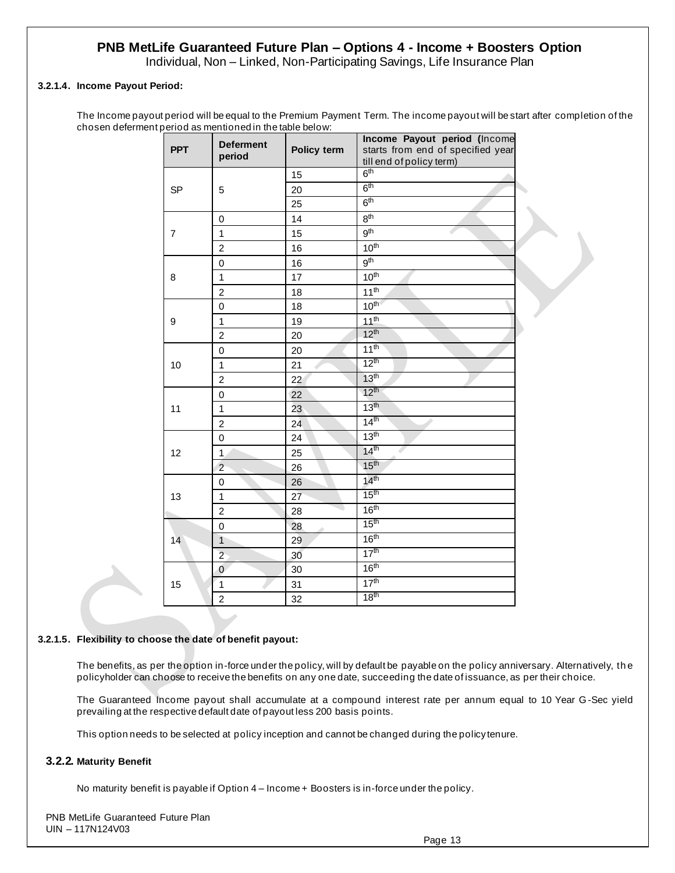Individual, Non – Linked, Non-Participating Savings, Life Insurance Plan

### **3.2.1.4. Income Payout Period:**

The Income payout period will be equal to the Premium Payment Term. The income payout will be start after completion of the chosen deferment period as mentioned in the table below:

| <b>PPT</b>     | <b>Deferment</b><br>period | Policy term | Income Payout period (Income<br>starts from end of specified year<br>till end of policy term) |  |  |
|----------------|----------------------------|-------------|-----------------------------------------------------------------------------------------------|--|--|
|                |                            | 15          | 6 <sup>th</sup>                                                                               |  |  |
| <b>SP</b>      | 5                          | 20          | 6 <sup>th</sup>                                                                               |  |  |
|                |                            | 25          | 6 <sup>th</sup>                                                                               |  |  |
|                | $\pmb{0}$                  | 14          | 8 <sup>th</sup>                                                                               |  |  |
| $\overline{7}$ | $\mathbf{1}$               | 15          | 9 <sup>th</sup>                                                                               |  |  |
|                | 2                          | 16          | 10 <sup>th</sup>                                                                              |  |  |
|                | $\mathbf 0$                | 16          | 9 <sup>th</sup>                                                                               |  |  |
| 8              | $\mathbf{1}$               | 17          | 10 <sup>th</sup>                                                                              |  |  |
|                | $\overline{c}$             | 18          | 11 <sup>th</sup>                                                                              |  |  |
|                | $\mathbf 0$                | 18          | 10 <sup>th</sup>                                                                              |  |  |
| 9              | $\mathbf 1$                | 19          | 11 <sup>th</sup>                                                                              |  |  |
|                | $\overline{c}$             | 20          | 12 <sup>th</sup>                                                                              |  |  |
| 10             | $\mathbf 0$                | 20          | 11 <sup>th</sup>                                                                              |  |  |
|                | $\mathbf 1$                | 21          | 12 <sup>th</sup>                                                                              |  |  |
|                | $\overline{c}$             | 22          | 13 <sup>th</sup>                                                                              |  |  |
|                | $\pmb{0}$                  | 22          | $12^{th}$                                                                                     |  |  |
| 11             | $\mathbf{1}$               | 23          | 13 <sup>th</sup>                                                                              |  |  |
|                | $\overline{\mathbf{c}}$    | 24          | 14 <sup>th</sup>                                                                              |  |  |
|                | $\mathsf 0$                | 24          | 13 <sup>th</sup>                                                                              |  |  |
| 12             | $\mathbf{1}$               | 25          | 14 <sup>th</sup>                                                                              |  |  |
|                | $\overline{c}$             | 26          | 15 <sup>th</sup>                                                                              |  |  |
|                | 0                          | 26          | 14 <sup>th</sup>                                                                              |  |  |
| 13             | $\mathbf{1}$               | 27          | 15 <sup>th</sup>                                                                              |  |  |
|                | 2                          | 28          | 16 <sup>th</sup>                                                                              |  |  |
|                | $\pmb{0}$                  | 28          | 15 <sup>th</sup>                                                                              |  |  |
| 14             | $\mathbf{1}$               | 29          | 16 <sup>th</sup>                                                                              |  |  |
|                | $\overline{2}$             | 30          | 17 <sup>th</sup>                                                                              |  |  |
|                | $\mathbf 0$                | 30          | 16 <sup>th</sup>                                                                              |  |  |
| 15             | $\mathbf 1$                | 31          | 17 <sup>th</sup>                                                                              |  |  |
|                | $\overline{c}$             | 32          | 18 <sup>th</sup>                                                                              |  |  |

#### **3.2.1.5. Flexibility to choose the date of benefit payout:**

The benefits, as per the option in-force under the policy, will by default be payable on the policy anniversary. Alternatively, th e policyholder can choose to receive the benefits on any one date, succeeding the date of issuance, as per their choice.

The Guaranteed Income payout shall accumulate at a compound interest rate per annum equal to 10 Year G -Sec yield prevailing at the respective default date of payout less 200 basis points.

This option needs to be selected at policy inception and cannot be changed during the policy tenure.

#### **3.2.2. Maturity Benefit**

No maturity benefit is payable if Option 4 – Income + Boosters is in-force under the policy.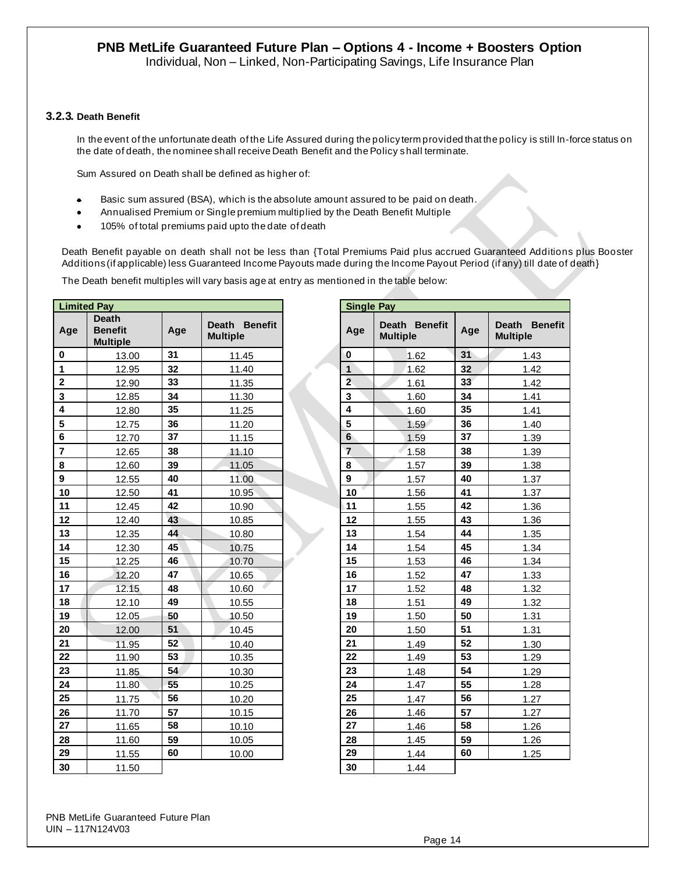Individual, Non – Linked, Non-Participating Savings, Life Insurance Plan

#### **3.2.3. Death Benefit**

In the event of the unfortunate death of the Life Assured during the policy term provided that the policy is still In-force status on the date of death, the nominee shall receive Death Benefit and the Policy shall terminate.

Sum Assured on Death shall be defined as higher of:

- Basic sum assured (BSA), which is the absolute amount assured to be paid on death.
- Annualised Premium or Single premium multiplied by the Death Benefit Multiple
- 105% of total premiums paid upto the date of death

Death Benefit payable on death shall not be less than {Total Premiums Paid plus accrued Guaranteed Additions plus Booster Additions (if applicable) less Guaranteed Income Payouts made during the Income Payout Period (if any) till date of death}

The Death benefit multiples will vary basis age at entry as mentioned in the table below:

| <b>Limited Pay</b>      |                                                   |     | <b>Single Pay</b>                |                         |                                  |     |                             |
|-------------------------|---------------------------------------------------|-----|----------------------------------|-------------------------|----------------------------------|-----|-----------------------------|
| Age                     | <b>Death</b><br><b>Benefit</b><br><b>Multiple</b> | Age | Death Benefit<br><b>Multiple</b> | Age                     | Death Benefit<br><b>Multiple</b> | Age | Death Be<br><b>Multiple</b> |
| $\bf{0}$                | 13.00                                             | 31  | 11.45                            | $\mathbf 0$             | 1.62                             | 31  | 1.43                        |
| 1                       | 12.95                                             | 32  | 11.40                            | $\mathbf{1}$            | 1.62                             | 32  | 1.42                        |
| $\mathbf 2$             | 12.90                                             | 33  | 11.35                            | $\overline{2}$          | 1.61                             | 33  | 1.42                        |
| $\mathbf 3$             | 12.85                                             | 34  | 11.30                            | $\mathbf 3$             | 1.60                             | 34  | 1.41                        |
| $\overline{\mathbf{4}}$ | 12.80                                             | 35  | 11.25                            | $\overline{\mathbf{4}}$ | 1.60                             | 35  | 1.41                        |
| $\overline{\mathbf{5}}$ | 12.75                                             | 36  | 11.20                            | 5                       | 1.59                             | 36  | 1.40                        |
| $6\phantom{a}$          | 12.70                                             | 37  | 11.15                            | $6\phantom{a}$          | 1.59                             | 37  | 1.39                        |
| $\overline{\mathbf{r}}$ | 12.65                                             | 38  | 11.10                            | $\overline{7}$          | 1.58                             | 38  | 1.39                        |
| 8                       | 12.60                                             | 39  | 11.05                            | $\bf 8$                 | 1.57                             | 39  | 1.38                        |
| $\boldsymbol{9}$        | 12.55                                             | 40  | 11.00                            | $\boldsymbol{9}$        | 1.57                             | 40  | 1.37                        |
| 10                      | 12.50                                             | 41  | 10.95                            | 10                      | 1.56                             | 41  | 1.37                        |
| 11                      | 12.45                                             | 42  | 10.90                            | 11                      | 1.55                             | 42  | 1.36                        |
| 12                      | 12.40                                             | 43  | 10.85                            | 12                      | 1.55                             | 43  | 1.36                        |
| 13                      | 12.35                                             | 44  | 10.80                            | 13                      | 1.54                             | 44  | 1.35                        |
| 14                      | 12.30                                             | 45  | 10.75                            | 14                      | 1.54                             | 45  | 1.34                        |
| 15                      | 12.25                                             | 46  | 10.70                            | 15                      | 1.53                             | 46  | 1.34                        |
| 16                      | 12.20                                             | 47  | 10.65                            | 16                      | 1.52                             | 47  | 1.33                        |
| 17                      | 12.15                                             | 48  | 10.60                            | 17                      | 1.52                             | 48  | 1.32                        |
| 18                      | 12.10                                             | 49  | 10.55                            | 18                      | 1.51                             | 49  | 1.32                        |
| 19                      | 12.05                                             | 50  | 10.50                            | 19                      | 1.50                             | 50  | 1.31                        |
| 20                      | 12.00                                             | 51  | 10.45                            | 20                      | 1.50                             | 51  | 1.31                        |
| 21                      | 11.95                                             | 52  | 10.40                            | 21                      | 1.49                             | 52  | 1.30                        |
| 22                      | 11.90                                             | 53  | 10.35                            | 22                      | 1.49                             | 53  | 1.29                        |
| 23                      | 11.85                                             | 54  | 10.30                            | 23                      | 1.48                             | 54  | 1.29                        |
| 24                      | 11.80                                             | 55  | 10.25                            | 24                      | 1.47                             | 55  | 1.28                        |
| 25                      | 11.75                                             | 56  | 10.20                            | 25                      | 1.47                             | 56  | 1.27                        |
| 26                      | 11.70                                             | 57  | 10.15                            | 26                      | 1.46                             | 57  | 1.27                        |
| 27                      | 11.65                                             | 58  | 10.10                            | 27                      | 1.46                             | 58  | 1.26                        |
| 28                      | 11.60                                             | 59  | 10.05                            | 28                      | 1.45                             | 59  | 1.26                        |
| 29                      | 11.55                                             | 60  | 10.00                            | 29                      | 1.44                             | 60  | 1.25                        |
| 30                      | 11.50                                             |     |                                  | 30                      | 1.44                             |     |                             |

|                                                   | <b>Single Pay</b> |                         |                                  |     |                                  |  |  |
|---------------------------------------------------|-------------------|-------------------------|----------------------------------|-----|----------------------------------|--|--|
| <b>Death</b><br><b>Benefit</b><br><b>Multiple</b> |                   | Age                     | Death Benefit<br><b>Multiple</b> | Age | Death Benefit<br><b>Multiple</b> |  |  |
| 11.45                                             |                   | $\mathbf{0}$            | 1.62                             | 31  | 1.43                             |  |  |
| 11.40                                             |                   | $\mathbf{1}$            | 1.62                             | 32  | 1.42                             |  |  |
| 11.35                                             |                   | $\overline{\mathbf{c}}$ | 1.61                             | 33  | 1.42                             |  |  |
| 11.30                                             |                   | 3                       | 1.60                             | 34  | 1.41                             |  |  |
| 11.25                                             |                   | 4                       | 1.60                             | 35  | 1.41                             |  |  |
| 11.20                                             |                   | 5                       | 1.59                             | 36  | 1.40                             |  |  |
| 11.15                                             |                   | $6\phantom{1}$          | 1.59                             | 37  | 1.39                             |  |  |
| 11.10                                             |                   | $\overline{7}$          | 1.58                             | 38  | 1.39                             |  |  |
| 11.05                                             |                   | 8                       | 1.57                             | 39  | 1.38                             |  |  |
| 11.00                                             |                   | 9                       | 1.57                             | 40  | 1.37                             |  |  |
| 10.95                                             |                   | 10                      | 1.56                             | 41  | 1.37                             |  |  |
| 10.90                                             |                   | 11                      | 1.55                             | 42  | 1.36                             |  |  |
| 10.85                                             |                   | 12                      | 1.55                             | 43  | 1.36                             |  |  |
| 10.80                                             |                   | 13                      | 1.54                             | 44  | 1.35                             |  |  |
| 10.75                                             |                   | 14                      | 1.54                             | 45  | 1.34                             |  |  |
| 10.70                                             |                   | 15                      | 1.53                             | 46  | 1.34                             |  |  |
| 10.65                                             |                   | 16                      | 1.52                             | 47  | 1.33                             |  |  |
| 10.60                                             |                   | 17                      | 1.52                             | 48  | 1.32                             |  |  |
| 10.55                                             |                   | 18                      | 1.51                             | 49  | 1.32                             |  |  |
| 10.50                                             |                   | 19                      | 1.50                             | 50  | 1.31                             |  |  |
| 10.45                                             |                   | 20                      | 1.50                             | 51  | 1.31                             |  |  |
| 10.40                                             |                   | 21                      | 1.49                             | 52  | 1.30                             |  |  |
| 10.35                                             |                   | 22                      | 1.49                             | 53  | 1.29                             |  |  |
| 10.30                                             |                   | 23                      | 1.48                             | 54  | 1.29                             |  |  |
| 10.25                                             |                   | 24                      | 1.47                             | 55  | 1.28                             |  |  |
| 10.20                                             |                   | 25                      | 1.47                             | 56  | 1.27                             |  |  |
| 10.15                                             |                   | 26                      | 1.46                             | 57  | 1.27                             |  |  |
| 10.10                                             |                   | 27                      | 1.46                             | 58  | 1.26                             |  |  |
| 10.05                                             |                   | 28                      | 1.45                             | 59  | 1.26                             |  |  |
| 10.00                                             |                   | 29                      | 1.44                             | 60  | 1.25                             |  |  |
|                                                   |                   | 30                      | 1.44                             |     |                                  |  |  |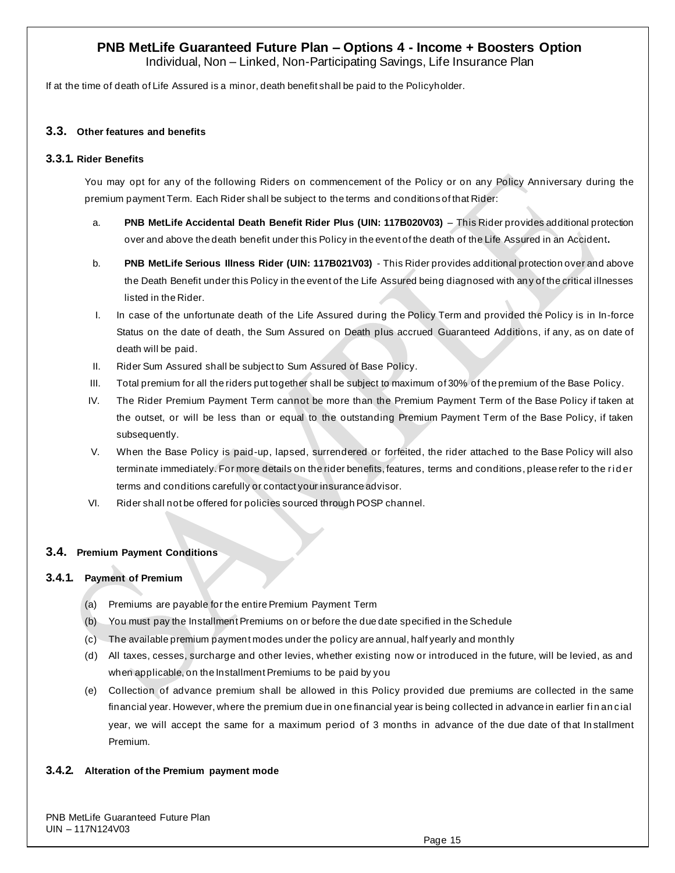Individual, Non – Linked, Non-Participating Savings, Life Insurance Plan

If at the time of death of Life Assured is a minor, death benefit shall be paid to the Policyholder.

## **3.3. Other features and benefits**

### **3.3.1. Rider Benefits**

You may opt for any of the following Riders on commencement of the Policy or on any Policy Anniversary during the premium payment Term. Each Rider shall be subject to the terms and conditions of that Rider:

- a. **PNB MetLife Accidental Death Benefit Rider Plus (UIN: 117B020V03)** This Rider provides additional protection over and above the death benefit under this Policy in the event of the death of the Life Assured in an Accident**.**
- b. **PNB MetLife Serious Illness Rider (UIN: 117B021V03)** This Rider provides additional protection over and above the Death Benefit under this Policy in the event of the Life Assured being diagnosed with any of the critical illnesses listed in the Rider.
- I. In case of the unfortunate death of the Life Assured during the Policy Term and provided the Policy is in In-force Status on the date of death, the Sum Assured on Death plus accrued Guaranteed Additions, if any, as on date of death will be paid.
- II. Rider Sum Assured shall be subject to Sum Assured of Base Policy.
- III. Total premium for all the riders put together shall be subject to maximum of 30% of the premium of the Base Policy.
- IV. The Rider Premium Payment Term cannot be more than the Premium Payment Term of the Base Policy if taken at the outset, or will be less than or equal to the outstanding Premium Payment Term of the Base Policy, if taken subsequently.
- V. When the Base Policy is paid-up, lapsed, surrendered or forfeited, the rider attached to the Base Policy will also terminate immediately. For more details on the rider benefits, features, terms and conditions, please refer to the ri d er terms and conditions carefully or contact your insurance advisor.
- VI. Rider shall not be offered for policies sourced through POSP channel.

### **3.4. Premium Payment Conditions**

### **3.4.1. Payment of Premium**

- (a) Premiums are payable for the entire Premium Payment Term
- (b) You must pay the Installment Premiums on or before the due date specified in the Schedule
- (c) The available premium payment modes under the policy are annual, half yearly and monthly
- (d) All taxes, cesses, surcharge and other levies, whether existing now or introduced in the future, will be levied, as and when applicable, on the Installment Premiums to be paid by you
- (e) Collection of advance premium shall be allowed in this Policy provided due premiums are collected in the same financial year. However, where the premium due in one financial year is being collected in advance in earlier fi n an cial year, we will accept the same for a maximum period of 3 months in advance of the due date of that In stallment Premium.

### **3.4.2. Alteration of the Premium payment mode**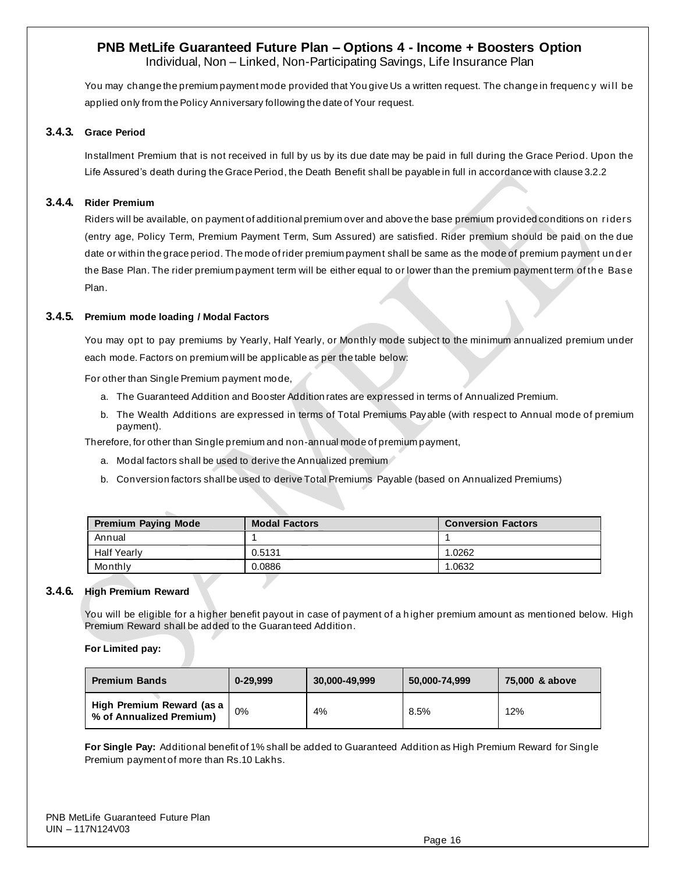Individual, Non – Linked, Non-Participating Savings, Life Insurance Plan

You may change the premium payment mode provided that You give Us a written request. The change in frequency will be applied only from the Policy Anniversary following the date of Your request.

#### **3.4.3. Grace Period**

Installment Premium that is not received in full by us by its due date may be paid in full during the Grace Period. Upon the Life Assured's death during the Grace Period, the Death Benefit shall be payable in full in accordance with clause 3.2.2

#### **3.4.4. Rider Premium**

Riders will be available, on payment of additional premium over and above the base premium provided conditions on ri ders (entry age, Policy Term, Premium Payment Term, Sum Assured) are satisfied. Rider premium should be paid on the due date or within the grace period. The mode of rider premium payment shall be same as the mode of premium payment under the Base Plan. The rider premium payment term will be either equal to or lower than the premium payment term of th e Base Plan.

#### **3.4.5. Premium mode loading / Modal Factors**

You may opt to pay premiums by Yearly, Half Yearly, or Monthly mode subject to the minimum annualized premium under each mode. Factors on premium will be applicable as per the table below:

For other than Single Premium payment mode,

- a. The Guaranteed Addition and Booster Addition rates are expressed in terms of Annualized Premium.
- b. The Wealth Additions are expressed in terms of Total Premiums Payable (with respect to Annual mode of premium payment).

Therefore, for other than Single premium and non-annual mode of premium payment,

- a. Modal factors shall be used to derive the Annualized premium
- b. Conversion factors shall be used to derive Total Premiums Payable (based on Annualized Premiums)

| <b>Premium Paying Mode</b> | <b>Modal Factors</b> | <b>Conversion Factors</b> |  |  |
|----------------------------|----------------------|---------------------------|--|--|
| Annual                     |                      |                           |  |  |
| <b>Half Yearly</b>         | 0.5131               | 1.0262                    |  |  |
| Monthly                    | 0.0886               | 1.0632                    |  |  |

#### **3.4.6. High Premium Reward**

You will be eligible for a higher benefit payout in case of payment of a h igher premium amount as mentioned below. High Premium Reward shall be added to the Guaranteed Addition.

#### **For Limited pay:**

| <b>Premium Bands</b>                                  | $0 - 29.999$ | 30.000-49.999 | 50.000-74.999 | 75,000 & above |
|-------------------------------------------------------|--------------|---------------|---------------|----------------|
| High Premium Reward (as a<br>% of Annualized Premium) | 0%           | 4%            | 8.5%          | 12%            |

**For Single Pay:** Additional benefit of 1% shall be added to Guaranteed Addition as High Premium Reward for Single Premium payment of more than Rs.10 Lakhs.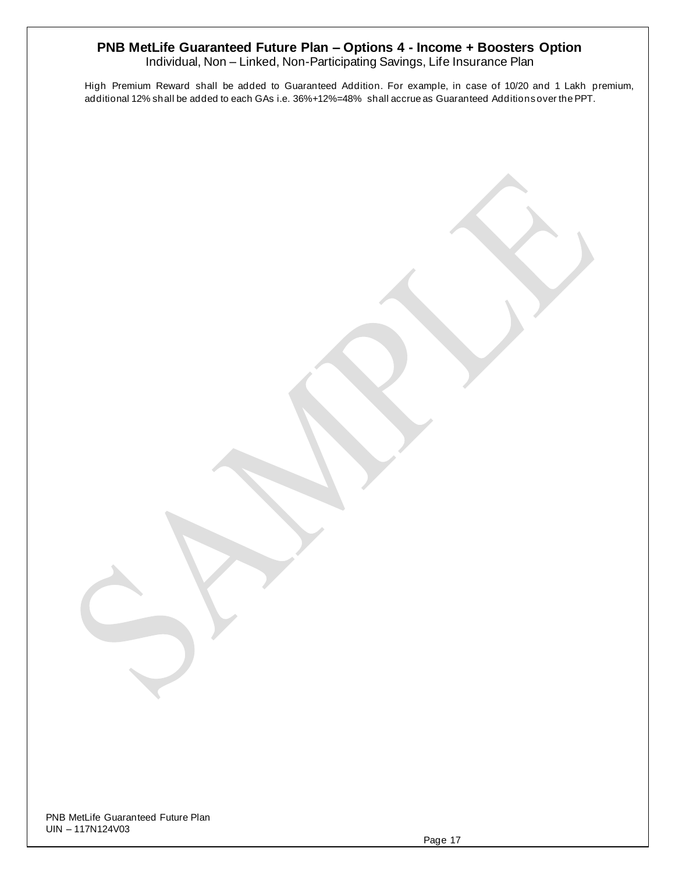Individual, Non – Linked, Non-Participating Savings, Life Insurance Plan

High Premium Reward shall be added to Guaranteed Addition. For example, in case of 10/20 and 1 Lakh premium, additional 12% shall be added to each GAs i.e. 36%+12%=48% shall accrue as Guaranteed Additions over the PPT.

PNB MetLife Guaranteed Future Plan UIN – 117N124V03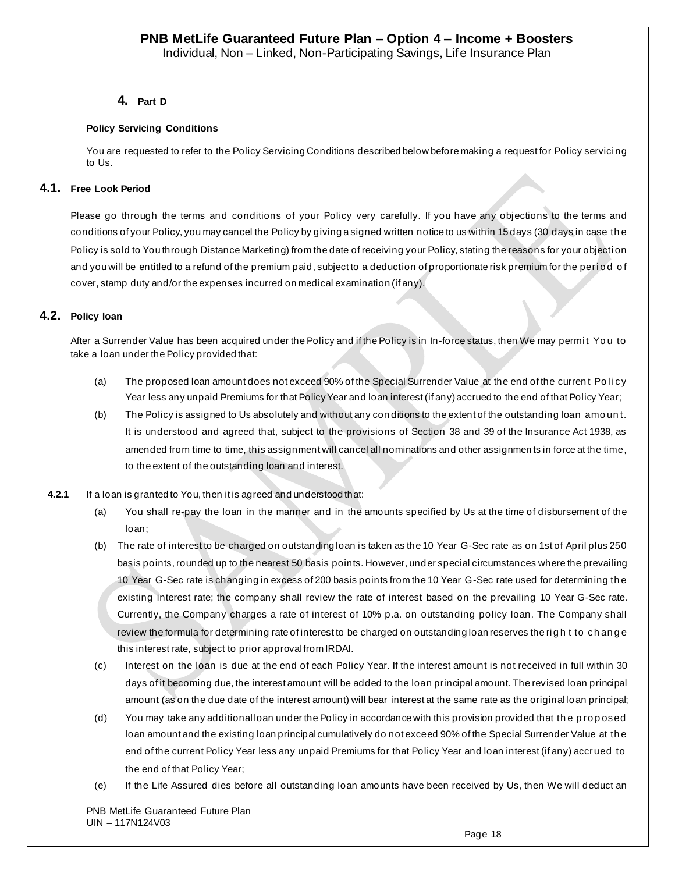## **4. Part D**

#### **Policy Servicing Conditions**

You are requested to refer to the Policy Servicing Conditions described below before making a request for Policy servici ng to Us.

### **4.1. Free Look Period**

Please go through the terms and conditions of your Policy very carefully. If you have any objections to the terms and conditions of your Policy, you may cancel the Policy by giving a signed written notice to us within 15 days (30 days in case th e Policy is sold to You through Distance Marketing) from the date of receiving your Policy, stating the reasons for your objecti on and you will be entitled to a refund of the premium paid, subject to a deduction of proportionate risk premium for the period of cover, stamp duty and/or the expenses incurred on medical examination (if any).

### **4.2. Policy loan**

After a Surrender Value has been acquired under the Policy and if the Policy is in In-force status, then We may permit You to take a loan under the Policy provided that:

- (a) The proposed loan amount does not exceed 90% of the Special Surrender Value at the end of the current Policy Year less any unpaid Premiums for that Policy Year and loan interest (if any) accrued to the end of that Policy Year;
- (b) The Policy is assigned to Us absolutely and without any con ditions to the extent of the outstanding loan amo un t. It is understood and agreed that, subject to the provisions of Section 38 and 39 of the Insurance Act 1938, as amended from time to time, this assignment will cancel all nominations and other assignmen ts in force at the time, to the extent of the outstanding loan and interest.
- **4.2.1** If a loan is granted to You, then it is agreed and understood that:
	- (a) You shall re-pay the loan in the manner and in the amounts specified by Us at the time of disbursement of the loan;
	- (b) The rate of interest to be charged on outstanding loan is taken as the 10 Year G-Sec rate as on 1st of April plus 250 basis points, rounded up to the nearest 50 basis points. However, under special circumstances where the prevailing 10 Year G-Sec rate is changing in excess of 200 basis points from the 10 Year G-Sec rate used for determining th e existing interest rate; the company shall review the rate of interest based on the prevailing 10 Year G-Sec rate. Currently, the Company charges a rate of interest of 10% p.a. on outstanding policy loan. The Company shall review the formula for determining rate of interest to be charged on outstanding loan reserves the right to change this interest rate, subject to prior approval from IRDAI.
	- (c) Interest on the loan is due at the end of each Policy Year. If the interest amount is not received in full within 30 days of it becoming due, the interest amount will be added to the loan principal amount. The revised loan principal amount (as on the due date of the interest amount) will bear interest at the same rate as the original loan principal;
	- (d) You may take any additional loan under the Policy in accordance with this provision provided that the proposed loan amount and the existing loan principal cumulatively do not exceed 90% of the Special Surrender Value at th e end of the current Policy Year less any unpaid Premiums for that Policy Year and loan interest (if any) accrued to the end of that Policy Year;
	- (e) If the Life Assured dies before all outstanding loan amounts have been received by Us, then We will deduct an

PNB MetLife Guaranteed Future Plan UIN – 117N124V03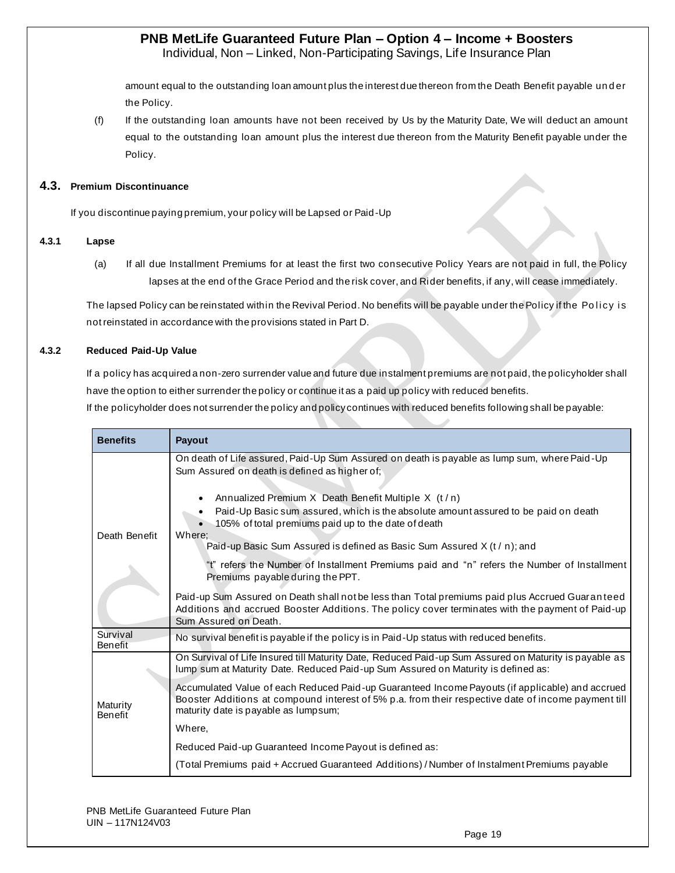Individual, Non – Linked, Non-Participating Savings, Life Insurance Plan

amount equal to the outstanding loan amount plus the interest due thereon from the Death Benefit payable un d er the Policy.

(f) If the outstanding loan amounts have not been received by Us by the Maturity Date, We will deduct an amount equal to the outstanding loan amount plus the interest due thereon from the Maturity Benefit payable under the Policy.

### **4.3. Premium Discontinuance**

If you discontinue paying premium, your policy will be Lapsed or Paid-Up

### **4.3.1 Lapse**

(a) If all due Installment Premiums for at least the first two consecutive Policy Years are not paid in full, the Policy lapses at the end of the Grace Period and the risk cover, and Rider benefits, if any, will cease immediately.

The lapsed Policy can be reinstated within the Revival Period. No benefits will be payable under the Policy if the Policy is not reinstated in accordance with the provisions stated in Part D.

## **4.3.2 Reduced Paid-Up Value**

If a policy has acquired a non-zero surrender value and future due instalment premiums are not paid, the policyholder shall have the option to either surrender the policy or continue it as a paid up policy with reduced benefits.

If the policyholder does not surrender the policy and policy continues with reduced benefits following shall be payable:

| <b>Benefits</b>            | Payout                                                                                                                                                                                                                                                                                                                                             |  |  |  |  |  |  |  |
|----------------------------|----------------------------------------------------------------------------------------------------------------------------------------------------------------------------------------------------------------------------------------------------------------------------------------------------------------------------------------------------|--|--|--|--|--|--|--|
|                            | On death of Life assured, Paid-Up Sum Assured on death is payable as lump sum, where Paid-Up<br>Sum Assured on death is defined as higher of;<br>Annualized Premium X Death Benefit Multiple X (t/n)<br>Paid-Up Basic sum assured, which is the absolute amount assured to be paid on death<br>105% of total premiums paid up to the date of death |  |  |  |  |  |  |  |
| Death Benefit              | Where;<br>Paid-up Basic Sum Assured is defined as Basic Sum Assured X (t / n); and                                                                                                                                                                                                                                                                 |  |  |  |  |  |  |  |
|                            | "t" refers the Number of Installment Premiums paid and "n" refers the Number of Installment<br>Premiums payable during the PPT.                                                                                                                                                                                                                    |  |  |  |  |  |  |  |
|                            | Paid-up Sum Assured on Death shall not be less than Total premiums paid plus Accrued Guaranteed<br>Additions and accrued Booster Additions. The policy cover terminates with the payment of Paid-up<br>Sum Assured on Death.                                                                                                                       |  |  |  |  |  |  |  |
| Survival<br>Benefit        | No survival benefit is payable if the policy is in Paid-Up status with reduced benefits.                                                                                                                                                                                                                                                           |  |  |  |  |  |  |  |
|                            | On Survival of Life Insured till Maturity Date, Reduced Paid-up Sum Assured on Maturity is payable as<br>lump sum at Maturity Date. Reduced Paid-up Sum Assured on Maturity is defined as:                                                                                                                                                         |  |  |  |  |  |  |  |
| Maturity<br><b>Benefit</b> | Accumulated Value of each Reduced Paid-up Guaranteed Income Payouts (if applicable) and accrued<br>Booster Additions at compound interest of 5% p.a. from their respective date of income payment till<br>maturity date is payable as lumpsum;                                                                                                     |  |  |  |  |  |  |  |
|                            | Where,                                                                                                                                                                                                                                                                                                                                             |  |  |  |  |  |  |  |
|                            | Reduced Paid-up Guaranteed Income Payout is defined as:                                                                                                                                                                                                                                                                                            |  |  |  |  |  |  |  |
|                            | (Total Premiums paid + Accrued Guaranteed Additions) / Number of Instalment Premiums payable                                                                                                                                                                                                                                                       |  |  |  |  |  |  |  |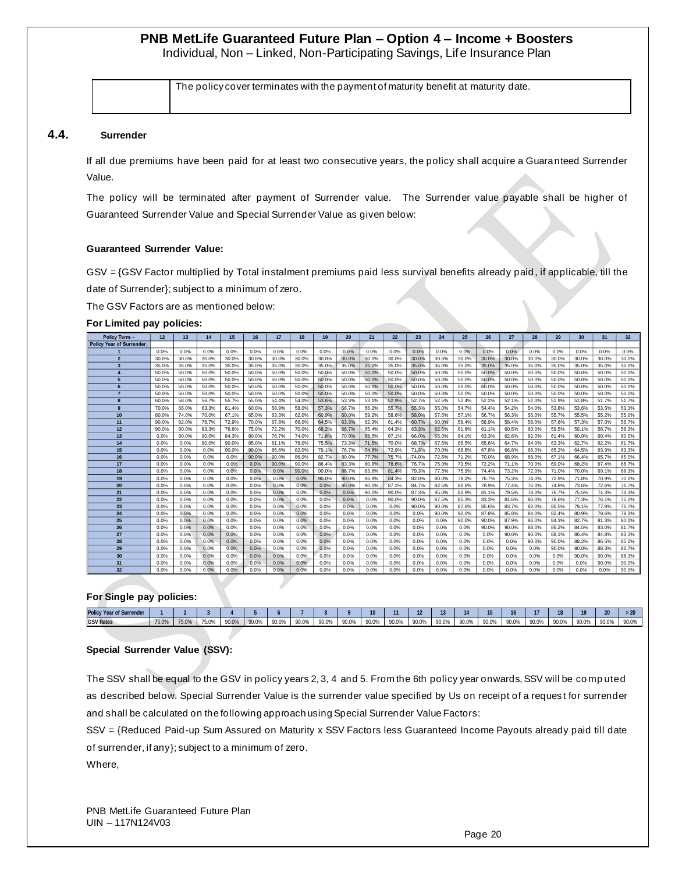Individual, Non – Linked, Non-Participating Savings, Life Insurance Plan

The policy cover terminates with the payment of maturity benefit at maturity date.

#### **4.4. Surrender**

If all due premiums have been paid for at least two consecutive years, the policy shall acquire a Guaranteed Surrender Value.

The policy will be terminated after payment of Surrender value. The Surrender value payable shall be higher of Guaranteed Surrender Value and Special Surrender Value as given below:

#### **Guaranteed Surrender Value:**

GSV = {GSV Factor multiplied by Total instalment premiums paid less survival benefits already paid , if applicable, till the date of Surrender}; subject to a minimum of zero.

The GSV Factors are as mentioned below:

#### **For Limited pay policies:**

| <b>Policy Term→</b>      | 12    | 13    | 14    | 15    | 16    | 17    | 18    | 19    | 20    | 21    | 22    | 23    | 24    | 25    | 26    | 27    | 28    | 29    | 30    | 31    | 32    |
|--------------------------|-------|-------|-------|-------|-------|-------|-------|-------|-------|-------|-------|-------|-------|-------|-------|-------|-------|-------|-------|-------|-------|
| Policy Year of Surrender |       |       |       |       |       |       |       |       |       |       |       |       |       |       |       |       |       |       |       |       |       |
|                          | 0.0%  | 0.0%  | 0.0%  | 0.0%  | 0.0%  | 0.0%  | 0.0%  | 0.0%  | 0.0%  | 0.0%  | 0.0%  | 0.0%  | 0.0%  | 0.0%  | 0.0%  | 0.0%  | 0.0%  | 0.0%  | 0.0%  | 0.0%  | 0.0%  |
| $\overline{2}$           | 30.0% | 30.0% | 30.0% | 30.0% | 30.0% | 30.0% | 30.0% | 30.0% | 30.0% | 30.0% | 30.0% | 30.0% | 30.0% | 30.0% | 30.0% | 30.0% | 30.0% | 30.0% | 30.0% | 30.0% | 30.0% |
| $\overline{\mathbf{3}}$  | 35.0% | 35.0% | 35.0% | 35.0% | 35.0% | 35.0% | 35.0% | 35.0% | 35.0% | 35.0% | 35.0% | 35.0% | 35.0% | 35.0% | 35.0% | 35.0% | 35.0% | 35.0% | 35.0% | 35.0% | 35.0% |
| 4                        | 50.0% | 50.0% | 50.0% | 50.0% | 50.0% | 50.0% | 50.0% | 50.0% | 50.0% | 50.0% | 50.0% | 50.0% | 50.0% | 50.0% | 50.0% | 50.0% | 50.0% | 50.0% | 50.0% | 50.0% | 50.0% |
| 5                        | 50.0% | 50.0% | 50.0% | 50.0% | 50.0% | 50.0% | 50.0% | 50.0% | 50.0% | 50.0% | 50.0% | 50.0% | 50.0% | 50.0% | 50.0% | 50.0% | 50.0% | 50.0% | 50.0% | 50.0% | 50.0% |
| 6                        | 50.0% | 50.0% | 50.0% | 50.0% | 50.0% | 50.0% | 50.0% | 50.0% | 50.0% | 50.0% | 50.0% | 50.0% | 50.0% | 50.0% | 50.0% | 50.0% | 50.0% | 50.0% | 50.0% | 50.0% | 50.0% |
| $\overline{7}$           | 50.0% | 50.0% | 50.0% | 50.0% | 50.0% | 50.0% | 50.0% | 50.0% | 50.0% | 50.0% | 50.0% | 50.0% | 50.0% | 50.0% | 50.0% | 50.0% | 50.0% | 50.0% | 50.0% | 50.0% | 50.0% |
| 8                        | 60.0% | 58.0% | 56.7% | 55.7% | 55.0% | 54.4% | 54.0% | 53.6% | 53.3% | 53.1% | 52.9% | 52.7% | 52.5% | 52.4% | 52.2% | 52.1% | 52.0% | 51.9% | 51.8% | 51.7% | 51.7% |
| 9                        | 70.0% | 66.0% | 63.3% | 61.4% | 60.0% | 58.9% | 58.0% | 57.3% | 56.7% | 56.2% | 55.7% | 55.3% | 55.0% | 54.7% | 54.4% | 54.2% | 54.0% | 53.8% | 53.6% | 53.5% | 53.3% |
| 10                       | 80.0% | 74.0% | 70.0% | 67.1% | 65.0% | 63.3% | 62.0% | 60.9% | 60.0% | 59.2% | 58.6% | 58.0% | 57.5% | 57.1% | 56.7% | 56.3% | 56.0% | 55.7% | 55.5% | 55.2% | 55.0% |
| 11                       | 90.0% | 82.0% | 76.7% | 72.9% | 70.0% | 67.8% | 66.0% | 64.5% | 63.3% | 62.3% | 61.4% | 60.7% | 60.0% | 59.4% | 58.9% | 58.4% | 58.0% | 57.6% | 57.3% | 57.0% | 56.7% |
| 12                       | 90.0% | 90.0% | 83.3% | 78.6% | 75.0% | 72.2% | 70.0% | 68.2% | 66.7% | 65.4% | 64.3% | 63.3% | 62.5% | 61.8% | 61.1% | 60.5% | 60.0% | 59.5% | 59.1% | 58.7% | 58.3% |
| 13                       | 0.0%  | 90.0% | 90.0% | 84.3% | 80.0% | 76.7% | 74.0% | 71.8% | 70.0% | 68.5% | 67.1% | 66.0% | 65.0% | 64.1% | 63.3% | 62.6% | 62.0% | 61.4% | 60.9% | 60.4% | 60.0% |
| 14                       | 0.0%  | 0.0%  | 90.0% | 90.0% | 85.0% | 81.1% | 78.0% | 75.5% | 73.3% | 71.5% | 70.0% | 68.7% | 67.5% | 66.5% | 65.6% | 64.7% | 64.0% | 63.3% | 62.7% | 62.2% | 61.7% |
| 15                       | 0.0%  | 0.0%  | 0.0%  | 90.0% | 90.0% | 85.6% | 82.0% | 79.1% | 76.7% | 74.6% | 72.9% | 71.3% | 70.0% | 68.8% | 67.8% | 66.8% | 66.0% | 65.2% | 64.5% | 63.9% | 63.3% |
| 16                       | 0.0%  | 0.0%  | 0.0%  | 0.0%  | 90.0% | 90.0% | 86.0% | 82.7% | 80.0% | 77.7% | 75.7% | 74.0% | 72.5% | 71.2% | 70.0% | 68.9% | 68.0% | 67.1% | 66.4% | 65.7% | 65.0% |
| 17                       | 0.0%  | 0.0%  | 0.0%  | 0.0%  | 0.0%  | 90.0% | 90.0% | 86.4% | 83.3% | 80.8% | 78.6% | 76.7% | 75.0% | 73.5% | 72.2% | 71.1% | 70.0% | 69.0% | 68.2% | 67.4% | 66.7% |
| 18                       | 0.0%  | 0.0%  | 0.0%  | 0.0%  | 0.0%  | 0.0%  | 90.0% | 90.0% | 86.7% | 83.8% | 81.4% | 79.3% | 77.5% | 75.9% | 74.4% | 73.2% | 72.0% | 71.0% | 70.0% | 69.1% | 68.3% |
| 19                       | 0.0%  | 0.0%  | 0.0%  | 0.0%  | 0.0%  | 0.0%  | 0.0%  | 90.0% | 90.0% | 86.9% | 84.3% | 82.0% | 80.0% | 78.2% | 76.7% | 75.3% | 74.0% | 72.9% | 71.8% | 70.9% | 70.0% |
| 20                       | 0.0%  | 0.0%  | 0.0%  | 0.0%  | 0.0%  | 0.0%  | 0.0%  | 0.0%  | 90.0% | 90.0% | 87.1% | 84.7% | 82.5% | 80.6% | 78.9% | 77.4% | 76.0% | 74.8% | 73.6% | 72.6% | 71.7% |
| 21                       | 0.0%  | 0.0%  | 0.0%  | 0.0%  | 0.0%  | 0.0%  | 0.0%  | 0.0%  | 0.0%  | 90.0% | 90.0% | 87.3% | 85.0% | 82.9% | 81.1% | 79.5% | 78.0% | 76.7% | 75.5% | 74.3% | 73.3% |
| 22                       | 0.0%  | 0.0%  | 0.0%  | 0.0%  | 0.0%  | 0.0%  | 0.0%  | 0.0%  | 0.0%  | 0.0%  | 90.0% | 90.0% | 87.5% | 85.3% | 83.3% | 81.6% | 80.0% | 78.6% | 77.3% | 76.1% | 75.0% |
| 23                       | 0.0%  | 0.0%  | 0.0%  | 0.0%  | 0.0%  | 0.0%  | 0.0%  | 0.0%  | 0.0%  | 0.0%  | 0.0%  | 90.0% | 90.0% | 87.6% | 85.6% | 83.7% | 82.0% | 80.5% | 79.1% | 77.8% | 76.7% |
| 24                       | 0.0%  | 0.0%  | 0.0%  | 0.0%  | 0.0%  | 0.0%  | 0.0%  | 0.0%  | 0.0%  | 0.0%  | 0.0%  | 0.0%  | 90.0% | 90.0% | 87.8% | 85.8% | 84.0% | 82.4% | 80.9% | 79.6% | 78.3% |
| 25                       | 0.0%  | 0.0%  | 0.0%  | 0.0%  | 0.0%  | 0.0%  | 0.0%  | 0.0%  | 0.0%  | 0.0%  | 0.0%  | 0.0%  | 0.0%  | 90.0% | 90.0% | 87.9% | 86.0% | 84.3% | 82.7% | 81.3% | 80.0% |
| 26                       | 0.0%  | 0.0%  | 0.0%  | 0.0%  | 0.0%  | 0.0%  | 0.0%  | 0.0%  | 0.0%  | 0.0%  | 0.0%  | 0.0%  | 0.0%  | 0.0%  | 90.0% | 90.0% | 88.0% | 86.2% | 84.5% | 83.0% | 81.7% |
| 27                       | 0.0%  | 0.0%  | 0.0%  | 0.0%  | 0.0%  | 0.0%  | 0.0%  | 0.0%  | 0.0%  | 0.0%  | 0.0%  | 0.0%  | 0.0%  | 0.0%  | 0.0%  | 90.0% | 90.0% | 88.1% | 86.4% | 84.8% | 83.3% |
| 28                       | 0.0%  | 0.0%  | 0.0%  | 0.0%  | 0.0%  | 0.0%  | 0.0%  | 0.0%  | 0.0%  | 0.0%  | 0.0%  | 0.0%  | 0.0%  | 0.0%  | 0.0%  | 0.0%  | 90.0% | 90.0% | 88.2% | 86.5% | 85.0% |
| 29                       | 0.0%  | 0.0%  | 0.0%  | 0.0%  | 0.0%  | 0.0%  | 0.0%  | 0.0%  | 0.0%  | 0.0%  | 0.0%  | 0.0%  | 0.0%  | 0.0%  | 0.0%  | 0.0%  | 0.0%  | 90.0% | 90.0% | 88.3% | 86.7% |
| 30                       | 0.0%  | 0.0%  | 0.0%  | 0.0%  | 0.0%  | 0.0%  | 0.0%  | 0.0%  | 0.0%  | 0.0%  | 0.0%  | 0.0%  | 0.0%  | 0.0%  | 0.0%  | 0.0%  | 0.0%  | 0.0%  | 90.0% | 90.0% | 88.3% |
| 31                       | 0.0%  | 0.0%  | 0.0%  | 0.0%  | 0.0%  | 0.0%  | 0.0%  | 0.0%  | 0.0%  | 0.0%  | 0.0%  | 0.0%  | 0.0%  | 0.0%  | 0.0%  | 0.0%  | 0.0%  | 0.0%  | 0.0%  | 90.0% | 90.0% |
| 32                       | 0.0%  | 0.0%  | 0.0%  | 0.0%  | 0.0%  | 0.0%  | 0.0%  | 0.0%  | 0.0%  | 0.0%  | 0.0%  | 0.0%  | 0.0%  | 0.0%  | 0.0%  | 0.0%  | 0.0%  | 0.0%  | 0.0%  | 0.0%  | 90.0% |

#### **For Single pay policies:**

| <b>Policy Year of Surrender</b> |       |       |       |       |       |       |       |       |       | 10    |       |       |       |       |       |       |       |               |       | 20    | $\overline{\phantom{a}}$ |
|---------------------------------|-------|-------|-------|-------|-------|-------|-------|-------|-------|-------|-------|-------|-------|-------|-------|-------|-------|---------------|-------|-------|--------------------------|
| <b>GSV Rates</b>                | 75.0% | 75.0% | 75.0% | 90.0% | 90.0% | 90.0% | 90.0% | 90.0% | 90.0% | 90.0% | 90.0% | 90.0% | 90.0% | 90.0% | 90.0% | 90.0% | 90.0% | an no<br>JU.U | 90.0% | 90.0% | 90.0%                    |

#### **Special Surrender Value (SSV):**

The SSV shall be equal to the GSV in policy years 2, 3, 4 and 5. From the 6th policy year onwards, SSV will be co mp uted as described below. Special Surrender Value is the surrender value specified by Us on receipt of a reques t for surrender and shall be calculated on the following approach using Special Surrender Value Factors:

SSV = {Reduced Paid-up Sum Assured on Maturity x SSV Factors less Guaranteed Income Payouts already paid till date of surrender, if any}; subject to a minimum of zero.

Where,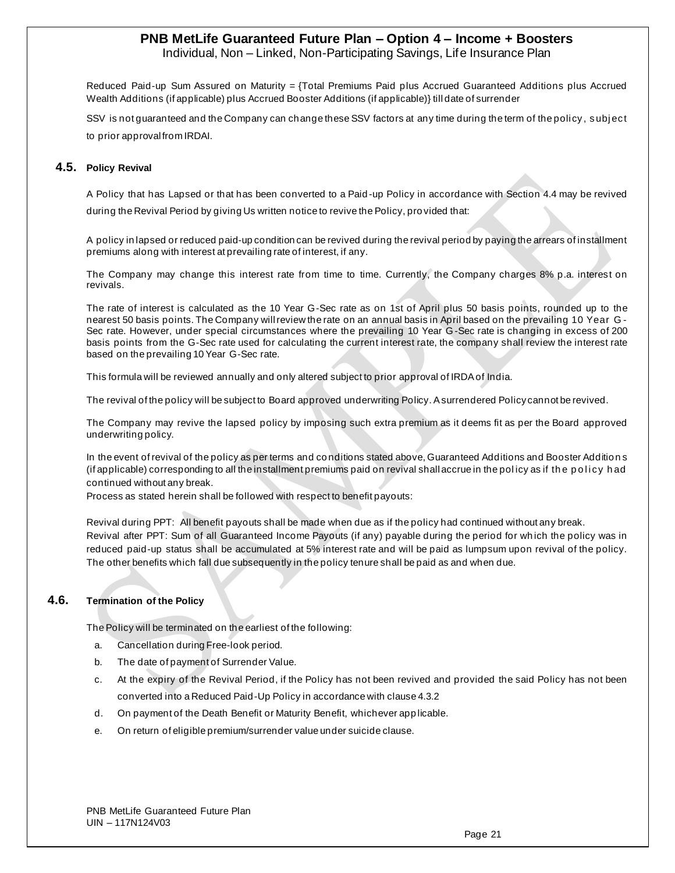Individual, Non – Linked, Non-Participating Savings, Life Insurance Plan

Reduced Paid-up Sum Assured on Maturity = {Total Premiums Paid plus Accrued Guaranteed Additions plus Accrued Wealth Additions (if applicable) plus Accrued Booster Additions (if applicable)} till date of surrender

SSV is not guaranteed and the Company can change these SSV factors at any time during the term of the policy, subject to prior approval from IRDAI.

## **4.5. Policy Revival**

A Policy that has Lapsed or that has been converted to a Paid -up Policy in accordance with Section 4.4 may be revived during the Revival Period by giving Us written notice to revive the Policy, pro vided that:

A policy in lapsed or reduced paid-up condition can be revived during the revival period by paying the arrears of installment premiums along with interest at prevailing rate of interest, if any.

The Company may change this interest rate from time to time. Currently, the Company charges 8% p.a. interest on revivals.

The rate of interest is calculated as the 10 Year G-Sec rate as on 1st of April plus 50 basis points, rounded up to the nearest 50 basis points. The Company will review the rate on an annual basis in April based on the prevailing 10 Year G - Sec rate. However, under special circumstances where the prevailing 10 Year G-Sec rate is changing in excess of 200 basis points from the G-Sec rate used for calculating the current interest rate, the company shall review the interest rate based on the prevailing 10 Year G-Sec rate.

This formula will be reviewed annually and only altered subject to prior approval of IRDA of India.

The revival of the policy will be subject to Board approved underwriting Policy. A surrendered Policy cannot be revived.

The Company may revive the lapsed policy by imposing such extra premium as it deems fit as per the Board approved underwriting policy.

In the event of revival of the policy as per terms and co nditions stated above, Guaranteed Additions and Booster Addition s (if applicable) corresponding to all the installment premiums paid on revival shall accrue in the policy as if the policy had continued without any break.

Process as stated herein shall be followed with respect to benefit payouts:

Revival during PPT: All benefit payouts shall be made when due as if the policy had continued without any break. Revival after PPT: Sum of all Guaranteed Income Payouts (if any) payable during the period for wh ich the policy was in reduced paid-up status shall be accumulated at 5% interest rate and will be paid as lumpsum upon revival of the policy. The other benefits which fall due subsequently in the policy tenure shall be paid as and when due.

## **4.6. Termination of the Policy**

The Policy will be terminated on the earliest of the following:

- a. Cancellation during Free-look period.
- b. The date of payment of Surrender Value.
- c. At the expiry of the Revival Period, if the Policy has not been revived and provided the said Policy has not been converted into a Reduced Paid-Up Policy in accordance with clause 4.3.2
- d. On payment of the Death Benefit or Maturity Benefit, whichever app licable.
- e. On return of eligible premium/surrender value under suicide clause.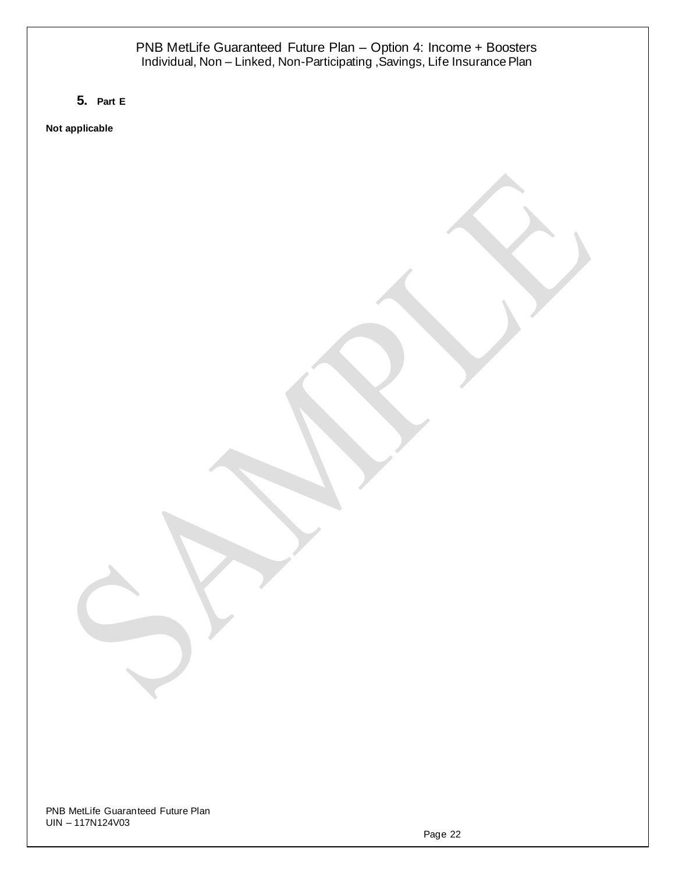**5. Part E**

**Not applicable**

PNB MetLife Guaranteed Future Plan UIN – 117N124V03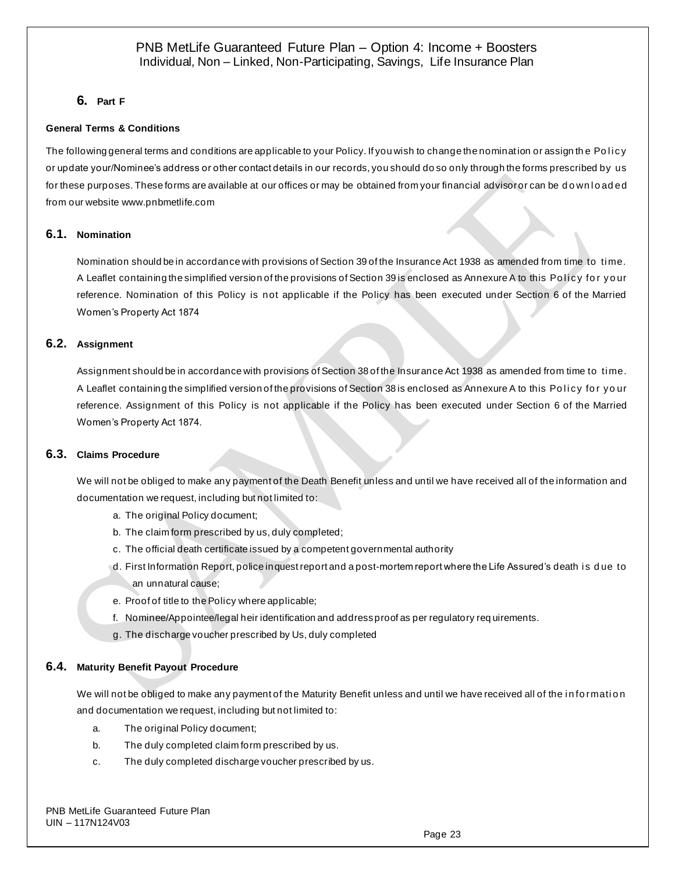# **6. Part F**

## **General Terms & Conditions**

The following general terms and conditions are applicable to your Policy. If you wish to change the nomination or assign the Policy or update your/Nominee's address or other contact details in our records, you should do so only through the forms prescribed by us for these purposes. These forms are available at our offices or may be obtained from your financial advisor or can be down loaded from our websit[e www.pnbmetlife.com](http://www.pnbmetlife.com/)

## **6.1. Nomination**

Nomination should be in accordance with provisions of Section 39 of the Insurance Act 1938 as amended from time to ti me. A Leaflet containing the simplified version of the provisions of Section 39 is enclosed as Annexure A to this Policy for your reference. Nomination of this Policy is not applicable if the Policy has been executed under Section 6 of the Married Women's Property Act 1874

## **6.2. Assignment**

Assignment should be in accordance with provisions of Section 38 of the Insurance Act 1938 as amended from time to ti me. A Leaflet containing the simplified version of the provisions of Section 38 is enclosed as Annexure A to this Policy for your reference. Assignment of this Policy is not applicable if the Policy has been executed under Section 6 of the Married Women's Property Act 1874.

### **6.3. Claims Procedure**

We will not be obliged to make any payment of the Death Benefit unless and until we have received all of the information and documentation we request, including but not limited to:

- a. The original Policy document;
- b. The claim form prescribed by us, duly completed;
- c. The official death certificate issued by a competent governmental authority
- d. First Information Report, police inquest report and a post-mortem report where the Life Assured's death i s d ue to an unnatural cause;
- e. Proof of title to the Policy where applicable;
- f. Nominee/Appointee/legal heir identification and address proof as per regulatory req uirements.
- g. The discharge voucher prescribed by Us, duly completed

## **6.4. Maturity Benefit Payout Procedure**

We will not be obliged to make any payment of the Maturity Benefit unless and until we have received all of the information and documentation we request, including but not limited to:

- a. The original Policy document;
- b. The duly completed claim form prescribed by us.
- c. The duly completed discharge voucher prescribed by us.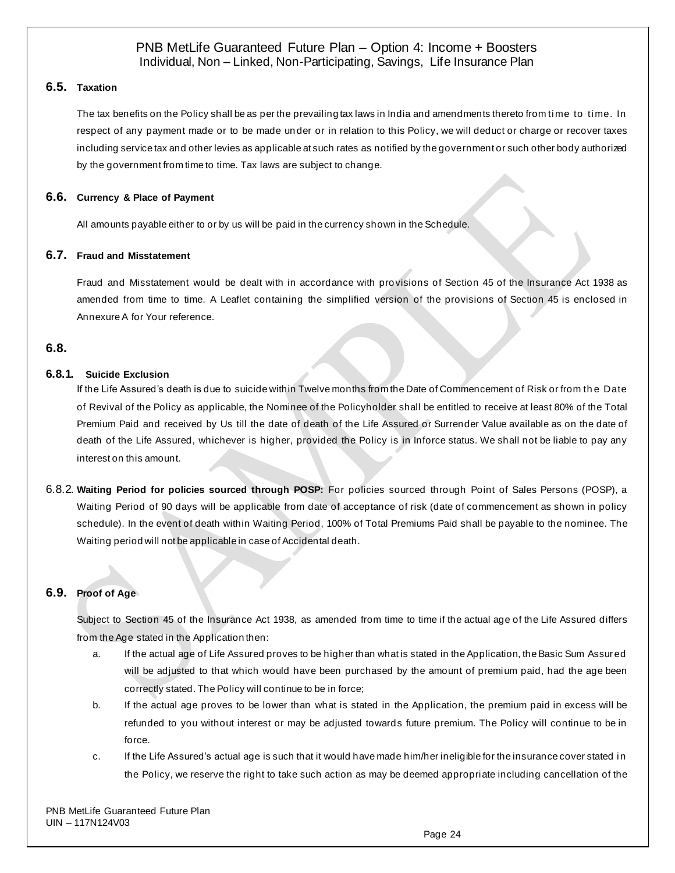## **6.5. Taxation**

The tax benefits on the Policy shall be as per the prevailing tax laws in India and amendments thereto from time to time. In respect of any payment made or to be made under or in relation to this Policy, we will deduct or charge or recover taxes including service tax and other levies as applicable at such rates as notified by the government or such other body authorized by the government from time to time. Tax laws are subject to change.

## **6.6. Currency & Place of Payment**

All amounts payable either to or by us will be paid in the currency shown in the Schedule.

## **6.7. Fraud and Misstatement**

Fraud and Misstatement would be dealt with in accordance with provisions of Section 45 of the Insurance Act 1938 as amended from time to time. A Leaflet containing the simplified version of the provisions of Section 45 is enclosed in Annexure A for Your reference.

# **6.8.**

## **6.8.1. Suicide Exclusion**

If the Life Assured's death is due to suicide within Twelve months from the Date of Commencement of Risk or from th e Date of Revival of the Policy as applicable, the Nominee of the Policyholder shall be entitled to receive at least 80% of the Total Premium Paid and received by Us till the date of death of the Life Assured or Surrender Value available as on the date of death of the Life Assured, whichever is higher, provided the Policy is in Inforce status. We shall not be liable to pay any interest on this amount.

6.8.2. **Waiting Period for policies sourced through POSP:** For policies sourced through Point of Sales Persons (POSP), a Waiting Period of 90 days will be applicable from date of acceptance of risk (date of commencement as shown in policy schedule). In the event of death within Waiting Period, 100% of Total Premiums Paid shall be payable to the nominee. The Waiting period will not be applicable in case of Accidental death.

## **6.9. Proof of Age**

Subject to Section 45 of the Insurance Act 1938, as amended from time to time if the actual age of the Life Assured differs from the Age stated in the Application then:

- a. If the actual age of Life Assured proves to be higher than what is stated in the Application, the Basic Sum Assured will be adjusted to that which would have been purchased by the amount of premium paid, had the age been correctly stated. The Policy will continue to be in force;
- b. If the actual age proves to be lower than what is stated in the Application, the premium paid in excess will be refunded to you without interest or may be adjusted towards future premium. The Policy will continue to be in force.
- c. If the Life Assured's actual age is such that it would have made him/her ineligible for the insurance cover stated in the Policy, we reserve the right to take such action as may be deemed appropriate including cancellation of the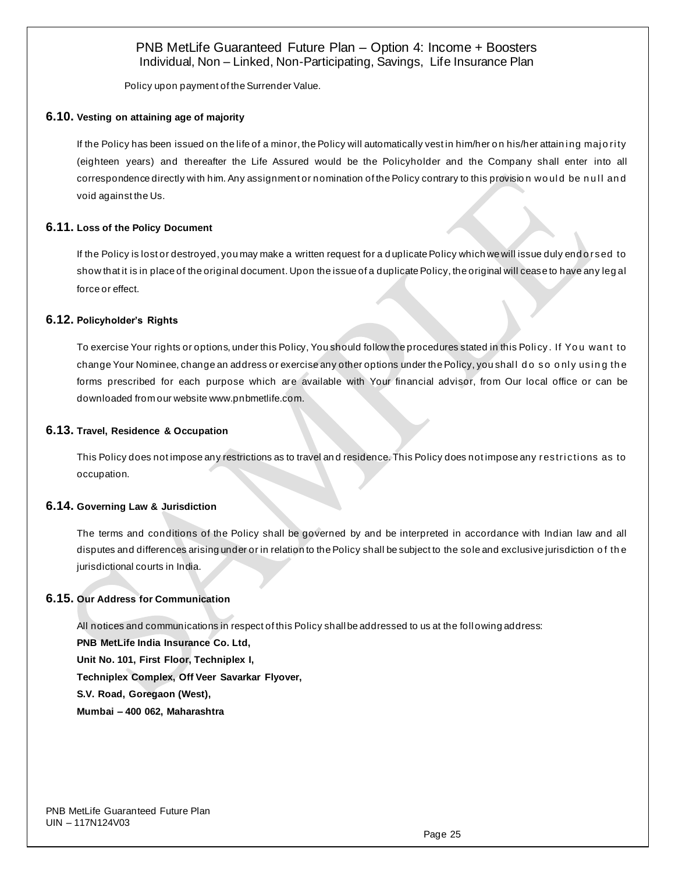Policy upon payment of the Surrender Value.

### **6.10. Vesting on attaining age of majority**

If the Policy has been issued on the life of a minor, the Policy will automatically vest in him/her on his/her attaining majority (eighteen years) and thereafter the Life Assured would be the Policyholder and the Company shall enter into all correspondence directly with him. Any assignment or nomination of the Policy contrary to this provision would be null and void against the Us.

## **6.11. Loss of the Policy Document**

If the Policy is lost or destroyed, you may make a written request for a d uplicate Policy which we will issue duly end o rsed to show that it is in place of the original document. Upon the issue of a duplicate Policy, the original will cease to have any leg al force or effect.

## **6.12. Policyholder's Rights**

To exercise Your rights or options, under this Policy, You should follow the procedures stated in this Policy. If You want to change Your Nominee, change an address or exercise any other options under the Policy, you shall do so only using the forms prescribed for each purpose which are available with Your financial advisor, from Our local office or can be downloaded from our websit[e www.pnbmetlife.com.](http://www.pnbmetlife.com/)

### **6.13. Travel, Residence & Occupation**

This Policy does not impose any restrictions as to travel and residence. This Policy does not impose any restrictions as to occupation.

## **6.14. Governing Law & Jurisdiction**

The terms and conditions of the Policy shall be governed by and be interpreted in accordance with Indian law and all disputes and differences arising under or in relation to the Policy shall be subject to the sole and exclusive jurisdiction o f th e jurisdictional courts in India.

## **6.15. Our Address for Communication**

All notices and communications in respect of this Policy shall be addressed to us at the foll owing address: **PNB MetLife India Insurance Co. Ltd, Unit No. 101, First Floor, Techniplex I, Techniplex Complex, Off Veer Savarkar Flyover, S.V. Road, Goregaon (West), Mumbai – 400 062, Maharashtra**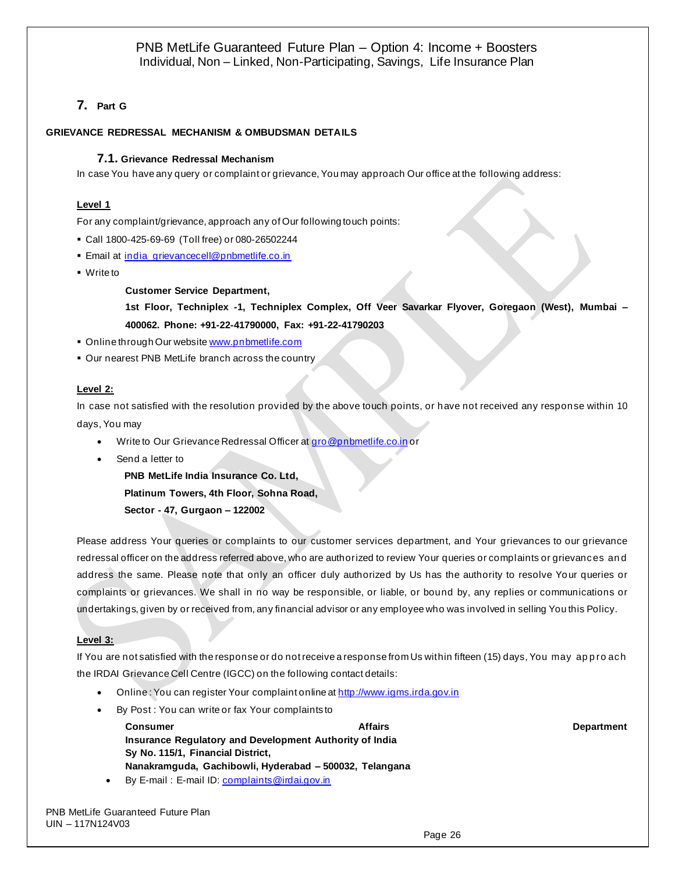# **7. Part G**

# **GRIEVANCE REDRESSAL MECHANISM & OMBUDSMAN DETAILS**

# **7.1. Grievance Redressal Mechanism**

In case You have any query or complaint or grievance, You may approach Our office at the following address:

# **Level 1**

For any complaint/grievance, approach any of Our following touch points:

- Call 1800-425-69-69 (Toll free) or 080-26502244
- **Email at [india\\_grievancecell@pnbmetlife.co.in](mailto:india_grievancecell@pnbmetlife.co.in)**
- Write to

**Customer Service Department,**

**1st Floor, Techniplex -1, Techniplex Complex, Off Veer Savarkar Flyover, Goregaon (West), Mumbai – 400062. Phone: +91-22-41790000, Fax: +91-22-41790203**

- Online through Our websit[e www.pnbmetlife.com](http://www.pnbmetlife.com/)
- **Our nearest PNB MetLife branch across the country**

## **Level 2:**

In case not satisfied with the resolution provided by the above touch points, or have not received any response within 10 days, You may

- Write to Our Grievance Redressal Officer a[t gro@pnbmetlife.co.in](mailto:gro@pnbmetlife.co.in) or
- Send a letter to

**PNB MetLife India Insurance Co. Ltd,**

**Platinum Towers, 4th Floor, Sohna Road,** 

**Sector - 47, Gurgaon – 122002**

Please address Your queries or complaints to our customer services department, and Your grievances to our grievance redressal officer on the address referred above, who are authorized to review Your queries or complaints or grievances an d address the same. Please note that only an officer duly authorized by Us has the authority to resolve Your queries or complaints or grievances. We shall in no way be responsible, or liable, or bound by, any replies or communications or undertakings, given by or received from, any financial advisor or any employee who was involved in selling You this Policy.

## **Level 3:**

If You are not satisfied with the response or do not receive a response from Us within fifteen (15) days, You may ap p ro ach the IRDAI Grievance Cell Centre (IGCC) on the following contact details:

- Online: You can register Your complaint online a[t http://www.igms.irda.gov.in](http://www.igms.irda.gov.in/)
- By Post : You can write or fax Your complaints to

- **Consumer Affairs Department Insurance Regulatory and Development Authority of India Sy No. 115/1, Financial District, Nanakramguda, Gachibowli, Hyderabad – 500032, Telangana**
- By E-mail : E-mail ID[: complaints@irdai.gov.in](mailto:complaints@irdai.gov.in)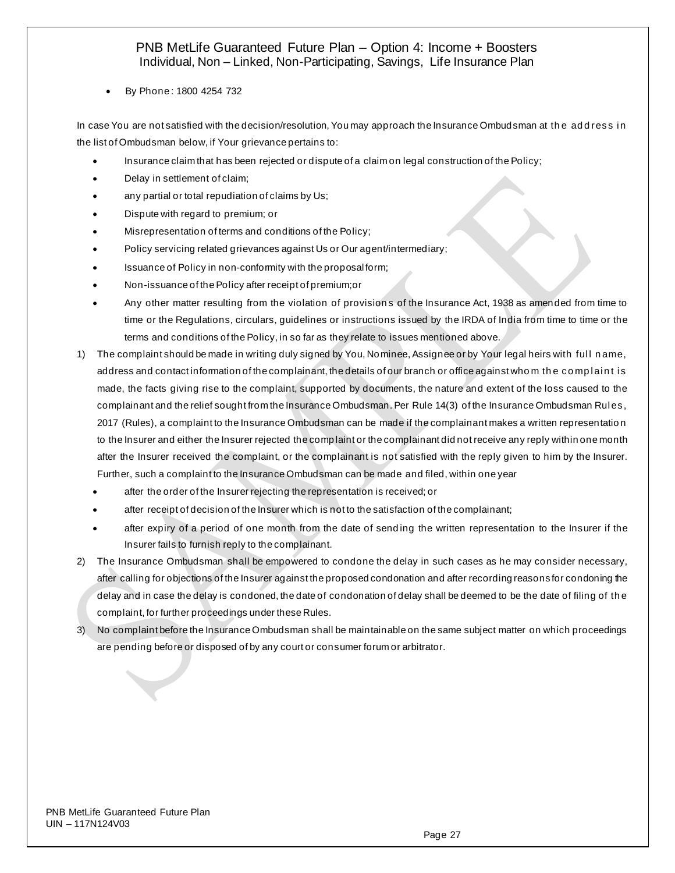• By Phone : 1800 4254 732

In case You are not satisfied with the decision/resolution, You may approach the Insurance Ombudsman at the address in the list of Ombudsman below, if Your grievance pertains to:

- Insurance claim that has been rejected or dispute of a claim on legal construction of the Policy;
- Delay in settlement of claim;
- any partial or total repudiation of claims by Us;
- Dispute with regard to premium; or
- Misrepresentation of terms and conditions of the Policy;
- Policy servicing related grievances against Us or Our agent/intermediary;
- Issuance of Policy in non-conformity with the proposal form;
- Non-issuance of the Policy after receipt of premium;or
- Any other matter resulting from the violation of provision s of the Insurance Act, 1938 as amended from time to time or the Regulations, circulars, guidelines or instructions issued by the IRDA of India from time to time or the terms and conditions of the Policy, in so far as they relate to issues mentioned above.
- 1) The complaint should be made in writing duly signed by You, Nominee, Assignee or by Your legal heirs with ful l n ame, address and contact information of the complainant, the details of our branch or office against whom the complaint is made, the facts giving rise to the complaint, supported by documents, the nature and extent of the loss caused to the complainant and the relief sought from the Insurance Ombudsman. Per Rule 14(3) of the Insurance Ombudsman Rul es, 2017 (Rules), a complaint to the Insurance Ombudsman can be made if the complainant makes a written representatio n to the Insurer and either the Insurer rejected the complaint or the complainant did not receive any reply within one month after the Insurer received the complaint, or the complainant is not satisfied with the reply given to him by the Insurer. Further, such a complaint to the Insurance Ombudsman can be made and filed, within one year
	- after the order of the Insurer rejecting the representation is received; or
	- after receipt of decision of the Insurer which is not to the satisfaction of the complainant;
	- after expiry of a period of one month from the date of sending the written representation to the Insurer if the Insurer fails to furnish reply to the complainant.
- 2) The Insurance Ombudsman shall be empowered to condone the delay in such cases as he may consider necessary, after calling for objections of the Insurer against the proposed condonation and after recording reasons for condoning the delay and in case the delay is condoned, the date of condonation of delay shall be deemed to be the date of filing of th e complaint, for further proceedings under these Rules.
- 3) No complaint before the Insurance Ombudsman shall be maintainable on the same subject matter on which proceedings are pending before or disposed of by any court or consumer forum or arbitrator.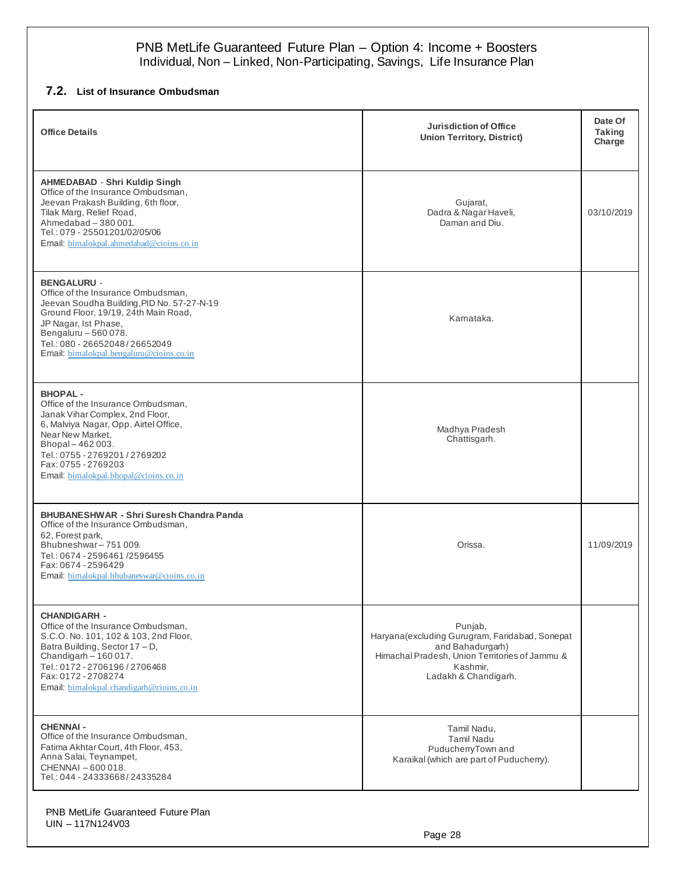# **7.2. List of Insurance Ombudsman**

| <b>Office Details</b>                                                                                                                                                                                                                                                       | <b>Jurisdiction of Office</b><br><b>Union Territory, District)</b>                                                                                                   | Date Of<br><b>Taking</b><br>Charge |
|-----------------------------------------------------------------------------------------------------------------------------------------------------------------------------------------------------------------------------------------------------------------------------|----------------------------------------------------------------------------------------------------------------------------------------------------------------------|------------------------------------|
| <b>AHMEDABAD - Shri Kuldip Singh</b><br>Office of the Insurance Ombudsman,<br>Jeevan Prakash Building, 6th floor,<br>Tilak Marg, Relief Road,<br>Ahmedabad - 380 001.<br>Tel.: 079 - 25501201/02/05/06<br>Email: bimalokpal.ahmedabad@cioins.co.in                          | Gujarat,<br>Dadra & Nagar Haveli,<br>Daman and Diu.                                                                                                                  | 03/10/2019                         |
| <b>BENGALURU -</b><br>Office of the Insurance Ombudsman,<br>Jeevan Soudha Building, PID No. 57-27-N-19<br>Ground Floor, 19/19, 24th Main Road,<br>JP Nagar, Ist Phase,<br>Bengaluru - 560 078.<br>Tel.: 080 - 26652048/26652049<br>Email. bimalokpal.bengaluru@cioins.co.in | Karnataka.                                                                                                                                                           |                                    |
| <b>BHOPAL-</b><br>Office of the Insurance Ombudsman,<br>Janak Vihar Complex, 2nd Floor,<br>6, Malviya Nagar, Opp. Airtel Office,<br>Near New Market,<br>Bhopal-462003.<br>Tel.: 0755 - 2769201 / 2769202<br>Fax: 0755 - 2769203<br>Email: bimalokpal.bhopal@cioins.co.in    | Madhya Pradesh<br>Chattisgarh.                                                                                                                                       |                                    |
| <b>BHUBANESHWAR - Shri Suresh Chandra Panda</b><br>Office of the Insurance Ombudsman,<br>62, Forest park,<br>Bhubneshwar-751009.<br>Tel.: 0674 - 2596461 / 2596455<br>Fax: 0674 - 2596429<br>Email: bimalokpal.bhubaneswar@cioins.co.in                                     | Orissa.                                                                                                                                                              | 11/09/2019                         |
| <b>CHANDIGARH -</b><br>Office of the Insurance Ombudsman,<br>S.C.O. No. 101, 102 & 103, 2nd Floor,<br>Batra Building, Sector 17 - D,<br>Chandigarh $-160017$ .<br>Tel.: 0172 - 2706196 / 2706468<br>Fax: 0172 - 2708274<br>Email: bimalokpal.chandigarh@cioins.co.in        | Punjab,<br>Haryana (excluding Gurugram, Faridabad, Sonepat<br>and Bahadurgarh)<br>Himachal Pradesh, Union Territories of Jammu &<br>Kashmir.<br>Ladakh & Chandigarh. |                                    |
| <b>CHENNAI -</b><br>Office of the Insurance Ombudsman,<br>Fatima Akhtar Court, 4th Floor, 453,<br>Anna Salai, Teynampet,<br>CHENNAI - 600 018.<br>Tel.: 044 - 24333668/24335284                                                                                             | Tamil Nadu,<br><b>Tamil Nadu</b><br>PuducherryTown and<br>Karaikal (which are part of Puducherry).                                                                   |                                    |

PNB MetLife Guaranteed Future Plan UIN – 117N124V03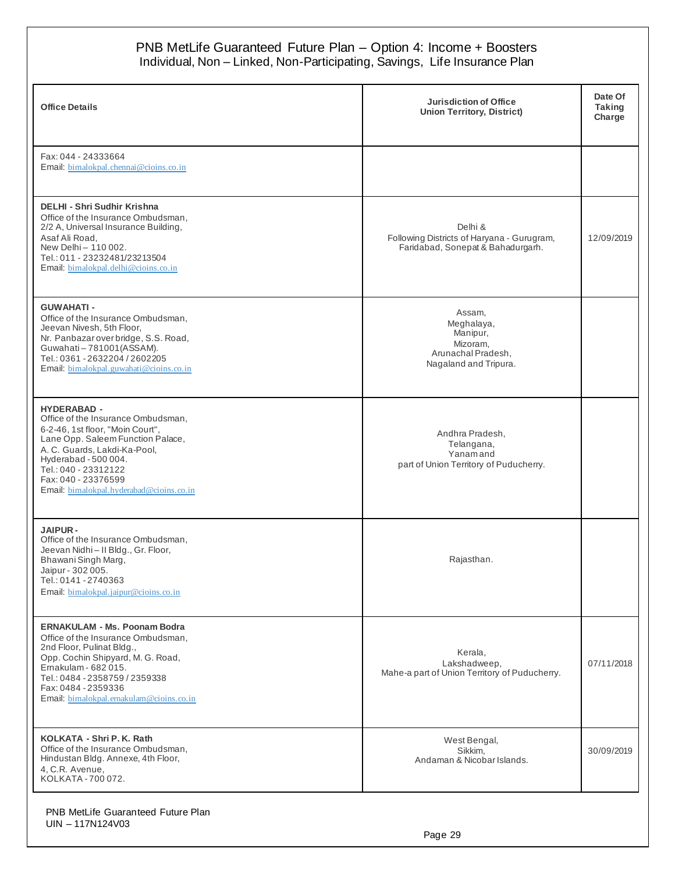| <b>Office Details</b>                                                                                                                                                                                                                                                                | <b>Jurisdiction of Office</b><br><b>Union Territory, District)</b>                          | Date Of<br><b>Taking</b><br>Charge |
|--------------------------------------------------------------------------------------------------------------------------------------------------------------------------------------------------------------------------------------------------------------------------------------|---------------------------------------------------------------------------------------------|------------------------------------|
| Fax: 044 - 24333664<br>Email. bimalokpal.chennai@cioins.co.in                                                                                                                                                                                                                        |                                                                                             |                                    |
| <b>DELHI - Shri Sudhir Krishna</b><br>Office of the Insurance Ombudsman,<br>2/2 A, Universal Insurance Building,<br>Asaf Ali Road,<br>New Delhi - 110 002.<br>Tel.: 011 - 23232481/23213504<br>Email: bimalokpal.delhi@cioins.co.in                                                  | Delhi &<br>Following Districts of Haryana - Gurugram,<br>Faridabad, Sonepat & Bahadurgarh.  | 12/09/2019                         |
| <b>GUWAHATI-</b><br>Office of the Insurance Ombudsman,<br>Jeevan Nivesh, 5th Floor,<br>Nr. Panbazar over bridge, S.S. Road,<br>Guwahati-781001(ASSAM).<br>Tel.: 0361 - 2632204 / 2602205<br>Email: bimalokpal.guwahati@cioins.co.in                                                  | Assam.<br>Meghalaya,<br>Manipur,<br>Mizoram,<br>Arunachal Pradesh,<br>Nagaland and Tripura. |                                    |
| <b>HYDERABAD -</b><br>Office of the Insurance Ombudsman,<br>6-2-46, 1st floor, "Moin Court",<br>Lane Opp. Saleem Function Palace,<br>A. C. Guards, Lakdi-Ka-Pool,<br>Hyderabad - 500 004.<br>Tel.: 040 - 23312122<br>Fax: 040 - 23376599<br>Email: bimalokpal.hyderabad@cioins.co.in | Andhra Pradesh,<br>Telangana,<br>Yanamand<br>part of Union Territory of Puducherry.         |                                    |
| <b>JAIPUR-</b><br>Office of the Insurance Ombudsman,<br>Jeevan Nidhi - II Bldg., Gr. Floor,<br>Bhawani Singh Marg,<br>Jaipur - 302 005.<br>Tel.: 0141 - 2740363<br>Email. bimalokpal.jaipur@cioins.co.in                                                                             | Rajasthan.                                                                                  |                                    |
| <b>ERNAKULAM - Ms. Poonam Bodra</b><br>Office of the Insurance Ombudsman,<br>2nd Floor, Pulinat Bldg.,<br>Opp. Cochin Shipyard, M. G. Road,<br>Emakulam - 682 015.<br>Tel.: 0484 - 2358759 / 2359338<br>Fax: 0484 - 2359336<br>Email: bimalokpal.ernakulam@cioins.co.in              | Kerala,<br>Lakshadweep,<br>Mahe-a part of Union Territory of Puducherry.                    | 07/11/2018                         |
| KOLKATA - Shri P. K. Rath<br>Office of the Insurance Ombudsman,<br>Hindustan Bldg. Annexe, 4th Floor,<br>4, C.R. Avenue,<br>KOLKATA - 700 072.                                                                                                                                       | West Bengal,<br>Sikkim.<br>Andaman & Nicobar Islands.                                       | 30/09/2019                         |

UIN – 117N124V03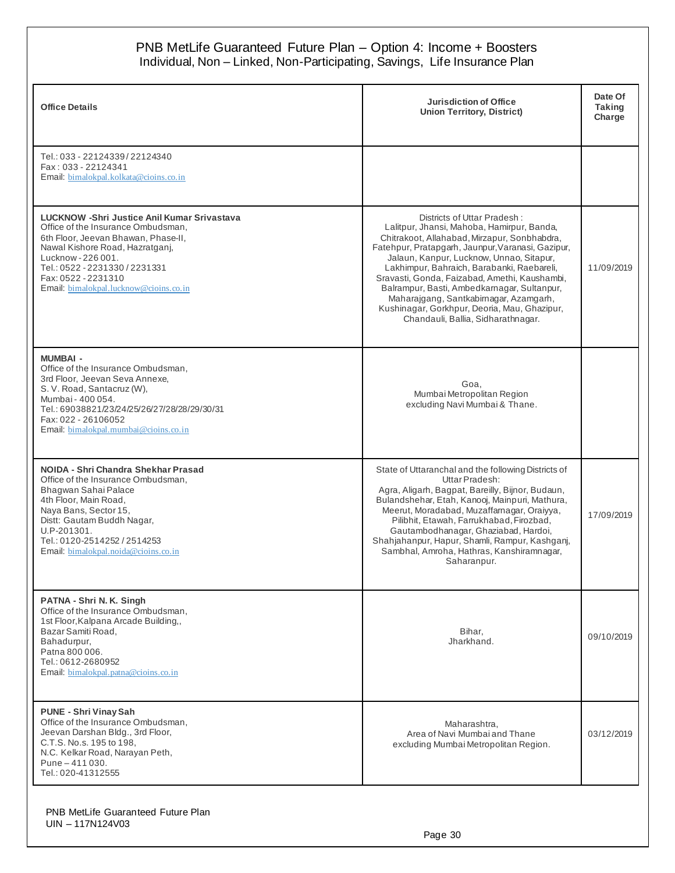|                                                                                                                                                                                                                                                                                             | PNB MetLife Guaranteed Future Plan - Option 4: Income + Boosters<br>Individual, Non - Linked, Non-Participating, Savings, Life Insurance Plan                                                                                                                                                                                                                                                                                                                                                            |                                    |
|---------------------------------------------------------------------------------------------------------------------------------------------------------------------------------------------------------------------------------------------------------------------------------------------|----------------------------------------------------------------------------------------------------------------------------------------------------------------------------------------------------------------------------------------------------------------------------------------------------------------------------------------------------------------------------------------------------------------------------------------------------------------------------------------------------------|------------------------------------|
| <b>Office Details</b>                                                                                                                                                                                                                                                                       | <b>Jurisdiction of Office</b><br><b>Union Territory, District)</b>                                                                                                                                                                                                                                                                                                                                                                                                                                       | Date Of<br><b>Taking</b><br>Charge |
| Tel.: 033 - 22124339/22124340<br>Fax: 033 - 22124341<br>Email. bimalokpal.kolkata@cioins.co.in                                                                                                                                                                                              |                                                                                                                                                                                                                                                                                                                                                                                                                                                                                                          |                                    |
| <b>LUCKNOW -Shri Justice Anil Kumar Srivastava</b><br>Office of the Insurance Ombudsman,<br>6th Floor, Jeevan Bhawan, Phase-II,<br>Nawal Kishore Road, Hazratganj,<br>Lucknow - 226 001.<br>Tel.: 0522 - 2231330 / 2231331<br>Fax: 0522 - 2231310<br>Email: bimalokpal.lucknow@cioins.co.in | Districts of Uttar Pradesh:<br>Lalitpur, Jhansi, Mahoba, Hamirpur, Banda,<br>Chitrakoot, Allahabad, Mirzapur, Sonbhabdra,<br>Fatehpur, Pratapgarh, Jaunpur, Varanasi, Gazipur,<br>Jalaun, Kanpur, Lucknow, Unnao, Sitapur,<br>Lakhimpur, Bahraich, Barabanki, Raebareli,<br>Sravasti, Gonda, Faizabad, Amethi, Kaushambi,<br>Balrampur, Basti, Ambedkarnagar, Sultanpur,<br>Maharajgang, Santkabirnagar, Azamgarh,<br>Kushinagar, Gorkhpur, Deoria, Mau, Ghazipur,<br>Chandauli, Ballia, Sidharathnagar. | 11/09/2019                         |
| <b>MUMBAI -</b><br>Office of the Insurance Ombudsman,<br>3rd Floor, Jeevan Seva Annexe,<br>S. V. Road, Santacruz (W),<br>Mumbai - 400 054.<br>Tel.: 69038821/23/24/25/26/27/28/28/29/30/31<br>Fax: 022 - 26106052<br>Email: bimalokpal.mumbai@cioins.co.in                                  | Goa,<br>Mumbai Metropolitan Region<br>excluding Navi Mumbai & Thane.                                                                                                                                                                                                                                                                                                                                                                                                                                     |                                    |
| NOIDA - Shri Chandra Shekhar Prasad<br>Office of the Insurance Ombudsman.<br>Bhagwan Sahai Palace<br>4th Floor, Main Road,<br>Naya Bans, Sector 15,<br>Distt: Gautam Buddh Nagar,<br>U.P-201301.<br>Tel.: 0120-2514252 / 2514253<br>Email: bimalokpal.noida@cioins.co.in                    | State of Uttaranchal and the following Districts of<br>Uttar Pradesh:<br>Agra, Aligarh, Bagpat, Bareilly, Bijnor, Budaun,<br>Bulandshehar, Etah, Kanooj, Mainpuri, Mathura,<br>Meerut, Moradabad, Muzaffarnagar, Oraiyya,<br>Pilibhit, Etawah, Farrukhabad, Firozbad,<br>Gautambodhanagar, Ghaziabad, Hardoi,<br>Shahjahanpur, Hapur, Shamli, Rampur, Kashganj,<br>Sambhal, Amroha, Hathras, Kanshiramnagar,<br>Saharanpur.                                                                              | 17/09/2019                         |
| PATNA - Shri N. K. Singh<br>Office of the Insurance Ombudsman,<br>1st Floor, Kalpana Arcade Building,,<br>Bazar Samiti Road,<br>Bahadurpur,<br>Patna 800 006.<br>Tel.: 0612-2680952<br>Email: bimalokpal.patna@cioins.co.in                                                                 | Bihar,<br>Jharkhand.                                                                                                                                                                                                                                                                                                                                                                                                                                                                                     | 09/10/2019                         |
| PUNE - Shri Vinay Sah<br>Office of the Insurance Ombudsman,<br>Jeevan Darshan Bldg., 3rd Floor,<br>C.T.S. No.s. 195 to 198,<br>N.C. Kelkar Road, Narayan Peth,<br>Pune - 411 030.<br>Tel.: 020-41312555                                                                                     | Maharashtra,<br>Area of Navi Mumbai and Thane<br>excluding Mumbai Metropolitan Region.                                                                                                                                                                                                                                                                                                                                                                                                                   | 03/12/2019                         |

PNB MetLife Guaranteed Future Plan UIN – 117N124V03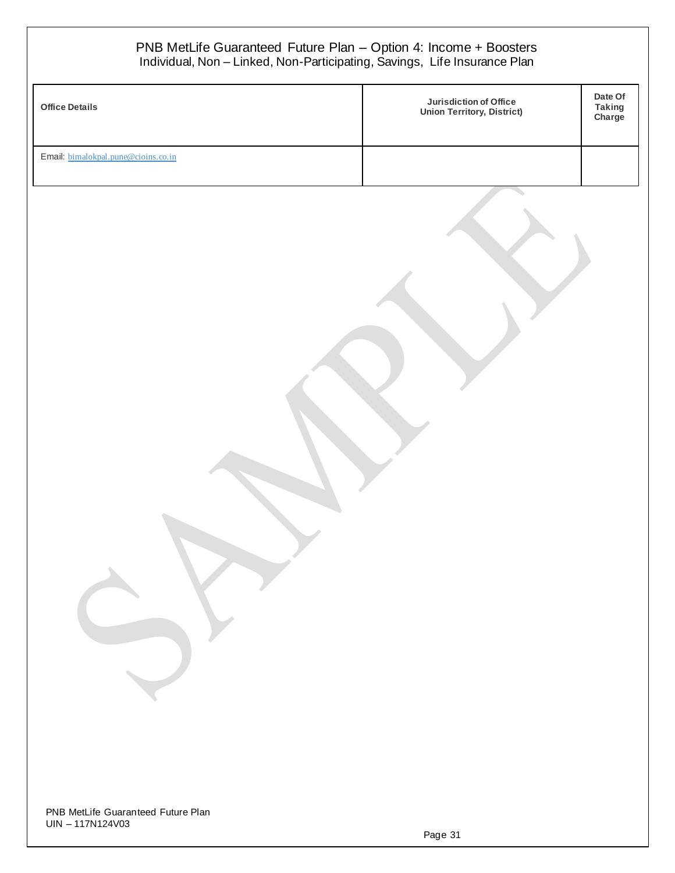| <b>Office Details</b>               | <b>Jurisdiction of Office</b><br><b>Union Territory, District)</b> | Date Of<br><b>Taking</b><br>Charge |
|-------------------------------------|--------------------------------------------------------------------|------------------------------------|
| Email: bimalokpal.pune@cioins.co.in |                                                                    |                                    |
|                                     |                                                                    |                                    |
|                                     |                                                                    |                                    |
|                                     |                                                                    |                                    |

Page 31 Page 31

UIN – 117N124V03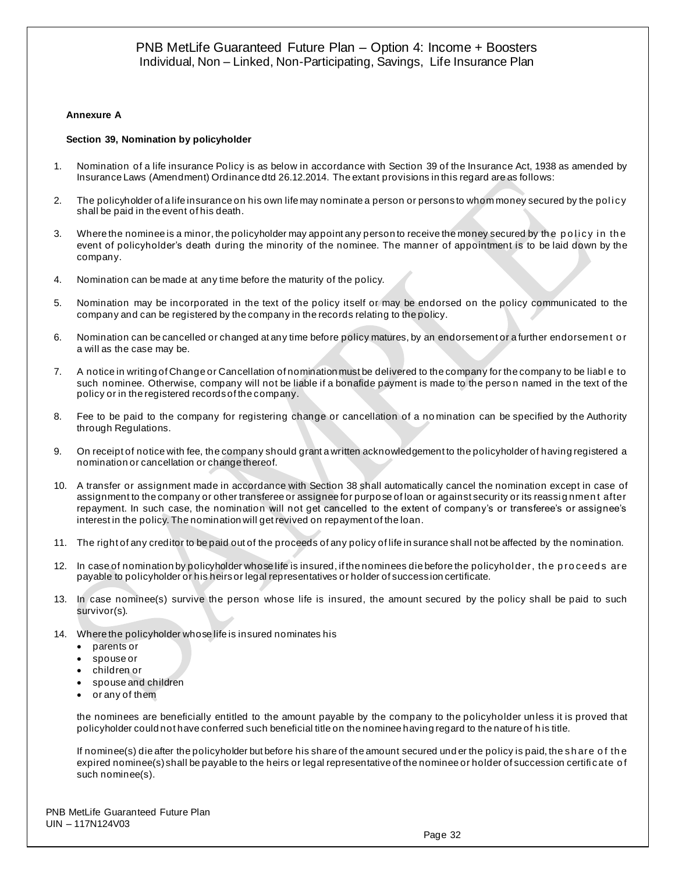#### **Annexure A**

#### **Section 39, Nomination by policyholder**

- 1. Nomination of a life insurance Policy is as below in accordance with Section 39 of the Insurance Act, 1938 as amended by Insurance Laws (Amendment) Ordinance dtd 26.12.2014. The extant provisions in this regard are as follows:
- 2. The policyholder of a life insurance on his own life may nominate a person or persons to whom money secured by the policy shall be paid in the event of his death.
- 3. Where the nominee is a minor, the policyholder may appoint any person to receive the money secured by the policy in the event of policyholder's death during the minority of the nominee. The manner of appointment is to be laid down by the company.
- 4. Nomination can be made at any time before the maturity of the policy.
- 5. Nomination may be incorporated in the text of the policy itself or may be endorsed on the policy communicated to the company and can be registered by the company in the records relating to the policy.
- 6. Nomination can be cancelled or changed at any time before policy matures, by an endorsement or a further endorsemen t o r a will as the case may be.
- 7. A notice in writing of Change or Cancellation of nomination must be delivered to the company for the company to be liabl e to such nominee. Otherwise, company will not be liable if a bonafide payment is made to the perso n named in the text of the policy or in the registered records of the company.
- 8. Fee to be paid to the company for registering change or cancellation of a no mination can be specified by the Authority through Regulations.
- 9. On receipt of notice with fee, the company should grant a written acknowledgement to the policyholder of having registered a nomination or cancellation or change thereof.
- 10. A transfer or assignment made in accordance with Section 38 shall automatically cancel the nomination except in case of assignment to the company or other transferee or assignee for purpose of loan or against security or its reassi g nmen t after repayment. In such case, the nomination will not get cancelled to the extent of company's or transferee's or assignee's interest in the policy. The nomination will get revived on repayment of the loan.
- 11. The right of any creditor to be paid out of the proceeds of any policy of life in surance shall not be affected by the nomination.
- 12. In case of nomination by policyholder whose life is insured, if the nominees die before the policyhol der, th e p ro ceed s are payable to policyholder or his heirs or legal representatives or holder of success ion certificate.
- 13. In case nominee(s) survive the person whose life is insured, the amount secured by the policy shall be paid to such survivor(s).
- 14. Where the policyholder whose life is insured nominates his
	- parents or
	- spouse or
	- children or
	- spouse and children
	- or any of them

the nominees are beneficially entitled to the amount payable by the company to the policyholder unless it is proved that policyholder could not have conferred such beneficial title on the nominee having regard to the nature of h is title.

If nominee(s) die after the policyholder but before his share of the amount secured und er the policy is paid, the sh are o f th e expired nominee(s) shall be payable to the heirs or legal representative of the nominee or holder of succession certifi cate o f such nominee(s).

PNB MetLife Guaranteed Future Plan UIN – 117N124V03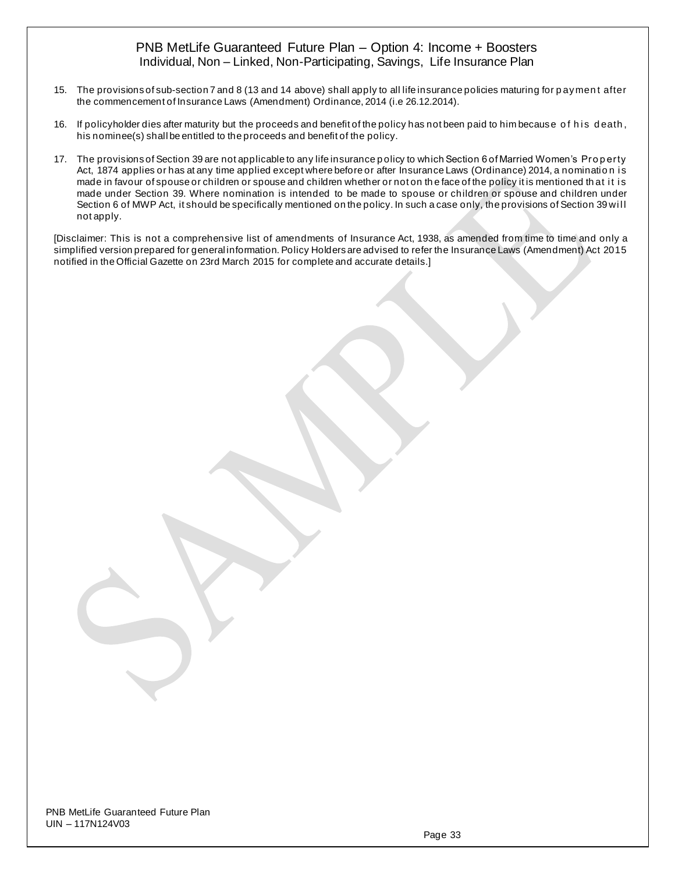- 15. The provisions of sub-section 7 and 8 (13 and 14 above) shall apply to all life insurance policies maturing for p aymen t after the commencement of Insurance Laws (Amendment) Ordinance, 2014 (i.e 26.12.2014).
- 16. If policyholder dies after maturity but the proceeds and benefit of the policy has not been paid to him because of his death, his nominee(s) shall be entitled to the proceeds and benefit of the policy.
- 17. The provisions of Section 39 are not applicable to any life insurance policy to which Section 6 of Married Women's Property Act, 1874 applies or has at any time applied except where before or after Insurance Laws (Ordinance) 2014, a nomination is made in favour of spouse or children or spouse and children whether or not on the face of the policy it is mentioned that it is made under Section 39. Where nomination is intended to be made to spouse or children or spouse and children under Section 6 of MWP Act, it should be specifically mentioned on the policy. In such a case only, the provisions of Section 39 will not apply.

[Disclaimer: This is not a comprehensive list of amendments of Insurance Act, 1938, as amended from time to time and only a simplified version prepared for general information. Policy Holders are advised to refer the Insurance Laws (Amendment) Act 2015 notified in the Official Gazette on 23rd March 2015 for complete and accurate details.]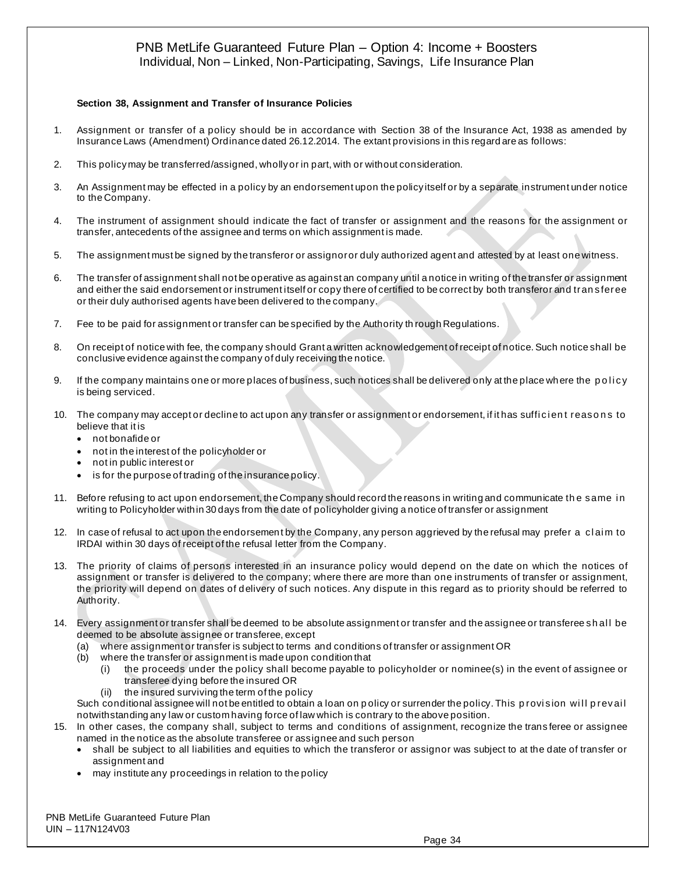#### **Section 38, Assignment and Transfer of Insurance Policies**

- 1. Assignment or transfer of a policy should be in accordance with Section 38 of the Insurance Act, 1938 as amended by Insurance Laws (Amendment) Ordinance dated 26.12.2014. The extant provisions in this regard are as follows:
- 2. This policy may be transferred/assigned, wholly or in part, with or without consideration.
- 3. An Assignment may be effected in a policy by an endorsement upon the policy itself or by a separate instrument under notice to the Company.
- 4. The instrument of assignment should indicate the fact of transfer or assignment and the reasons for the assignment or transfer, antecedents of the assignee and terms on which assignment is made.
- 5. The assignment must be signed by the transferor or assignor or duly authorized agent and attested by at least one witness.
- 6. The transfer of assignment shall not be operative as against an company until a notice in writing of the transfer or assignment and either the said endorsement or instrument itself or copy there of certified to be correct by both transferor and tran sferee or their duly authorised agents have been delivered to the company.
- 7. Fee to be paid for assignment or transfer can be specified by the Authority th rough Regulations.
- 8. On receipt of notice with fee, the company should Grant a written acknowledgement of receipt of notice. Such notice shall be conclusive evidence against the company of duly receiving the notice.
- 9. If the company maintains one or more places of business, such notices shall be delivered only at the place where the policy is being serviced.
- 10. The company may accept or decline to act upon any transfer or assignment or endorsement, if it has sufficient reasons to believe that it is
	- not bonafide or
	- not in the interest of the policyholder or
	- not in public interest or
	- is for the purpose of trading of the insurance policy.
- 11. Before refusing to act upon endorsement, the Company should record the reasons in writing and communicate th e same i n writing to Policyholder within 30 days from the date of policyholder giving a notice of transfer or assignment
- 12. In case of refusal to act upon the endorsement by the Company, any person aggrieved by the refusal may prefer a claim to IRDAI within 30 days of receipt of the refusal letter from the Company.
- 13. The priority of claims of persons interested in an insurance policy would depend on the date on which the notices of assignment or transfer is delivered to the company; where there are more than one instruments of transfer or assignment, the priority will depend on dates of delivery of such notices. Any dispute in this regard as to priority should be referred to Authority.
- 14. Every assignment or transfer shall be deemed to be absolute assignment or transfer and the assignee or transferee sh al l be deemed to be absolute assignee or transferee, except
	- (a) where assignment or transfer is subject to terms and conditions of transfer or assignment OR
	- (b) where the transfer or assignment is made upon condition that
		- (i) the proceeds under the policy shall become payable to policyholder or nominee(s) in the event of assignee or transferee dying before the insured OR
		- (ii) the insured surviving the term of the policy

Such conditional assignee will not be entitled to obtain a loan on policy or surrender the policy. This provision will prevail notwithstanding any law or custom having force of law which is contrary to the above position.

- 15. In other cases, the company shall, subject to terms and conditions of assignment, recognize the trans feree or assignee named in the notice as the absolute transferee or assignee and such person
	- shall be subject to all liabilities and equities to which the transferor or assignor was subject to at the date of transfer or assignment and
	- may institute any proceedings in relation to the policy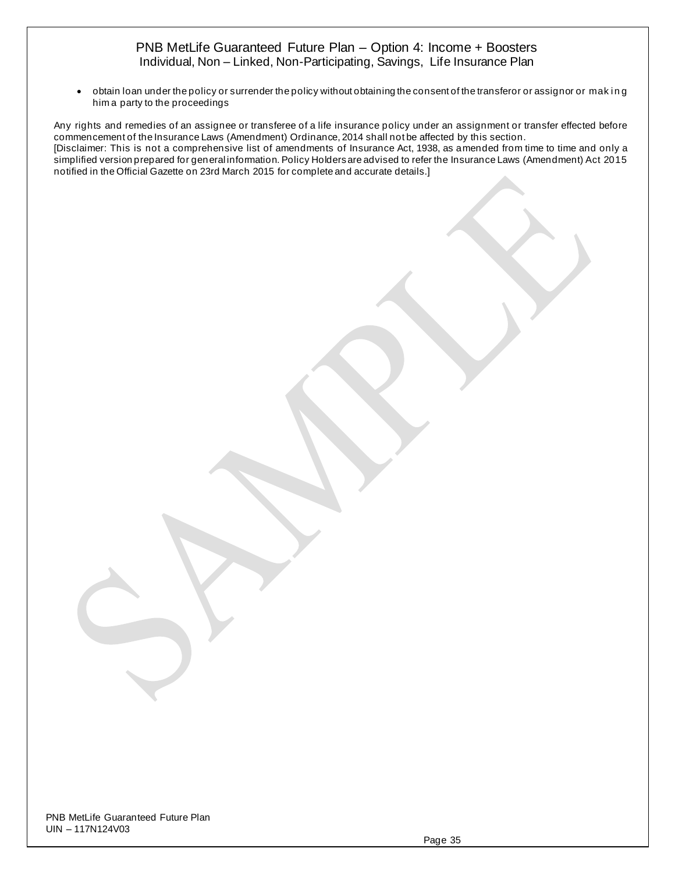• obtain loan under the policy or surrender the policy without obtaining the consent of the transferor or assignor or making him a party to the proceedings

Any rights and remedies of an assignee or transferee of a life insurance policy under an assignment or transfer effected before commencement of the Insurance Laws (Amendment) Ordinance, 2014 shall not be affected by this section. [Disclaimer: This is not a comprehensive list of amendments of Insurance Act, 1938, as amended from time to time and only a simplified version prepared for general information. Policy Holders are advised to refer the Insurance Laws (Amendment) Act 2015 notified in the Official Gazette on 23rd March 2015 for complete and accurate details.]